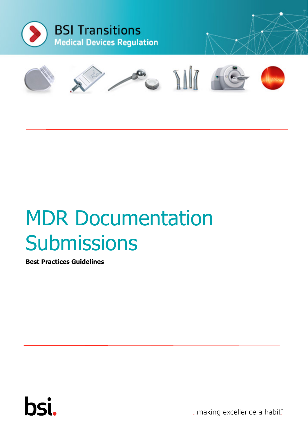



# MDR Documentation **Submissions**

**Best Practices Guidelines**



...making excellence a habit."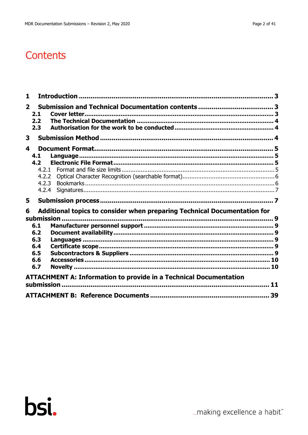| $\mathbf{1}$   |                  |                                                                          |    |
|----------------|------------------|--------------------------------------------------------------------------|----|
| $\overline{2}$ | 2.1              |                                                                          |    |
|                | 2.2              |                                                                          |    |
|                | 2.3              |                                                                          |    |
| 3              |                  |                                                                          |    |
| 4              |                  |                                                                          |    |
|                |                  |                                                                          |    |
|                | 4.1              |                                                                          |    |
|                | 4.2 <sub>2</sub> |                                                                          |    |
|                | 4.2.1            |                                                                          |    |
|                | 4.2.2            |                                                                          |    |
|                | 4.2.3            |                                                                          |    |
|                | 4.2.4            |                                                                          |    |
| 5              |                  |                                                                          |    |
| 6              |                  | Additional topics to consider when preparing Technical Documentation for |    |
|                |                  |                                                                          |    |
|                | submission.      |                                                                          |    |
|                | 6.1              |                                                                          |    |
|                | 6.2              |                                                                          |    |
|                | 6.3              |                                                                          |    |
|                | 6.4<br>6.5       |                                                                          |    |
|                |                  |                                                                          |    |
|                | 6.6              |                                                                          |    |
|                | 6.7              |                                                                          |    |
|                |                  | <b>ATTACHMENT A: Information to provide in a Technical Documentation</b> |    |
|                |                  |                                                                          | 11 |
|                |                  |                                                                          |    |
|                |                  |                                                                          | 39 |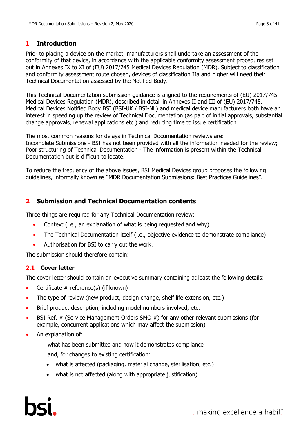# <span id="page-2-0"></span>**1 Introduction**

Prior to placing a device on the market, manufacturers shall undertake an assessment of the conformity of that device, in accordance with the applicable conformity assessment procedures set out in Annexes IX to XI of (EU) 2017/745 Medical Devices Regulation (MDR). Subject to classification and conformity assessment route chosen, devices of classification IIa and higher will need their Technical Documentation assessed by the Notified Body.

This Technical Documentation submission guidance is aligned to the requirements of (EU) 2017/745 Medical Devices Regulation (MDR), described in detail in Annexes II and III of (EU) 2017/745. Medical Devices Notified Body BSI (BSI-UK / BSI-NL) and medical device manufacturers both have an interest in speeding up the review of Technical Documentation (as part of initial approvals, substantial change approvals, renewal applications etc.) and reducing time to issue certification.

The most common reasons for delays in Technical Documentation reviews are: Incomplete Submissions - BSI has not been provided with all the information needed for the review; Poor structuring of Technical Documentation - The information is present within the Technical Documentation but is difficult to locate.

To reduce the frequency of the above issues, BSI Medical Devices group proposes the following guidelines, informally known as "MDR Documentation Submissions: Best Practices Guidelines".

# <span id="page-2-1"></span>**2 Submission and Technical Documentation contents**

Three things are required for any Technical Documentation review:

- Context (i.e., an explanation of what is being requested and why)
- The Technical Documentation itself (i.e., objective evidence to demonstrate compliance)
- Authorisation for BSI to carry out the work.

<span id="page-2-2"></span>The submission should therefore contain:

# **2.1 Cover letter**

The cover letter should contain an executive summary containing at least the following details:

- Certificate  $#$  reference(s) (if known)
- The type of review (new product, design change, shelf life extension, etc.)
- Brief product description, including model numbers involved, etc.
- BSI Ref. # (Service Management Orders SMO #) for any other relevant submissions (for example, concurrent applications which may affect the submission)
- An explanation of:
	- what has been submitted and how it demonstrates compliance

and, for changes to existing certification:

- what is affected (packaging, material change, sterilisation, etc.)
- what is not affected (along with appropriate justification)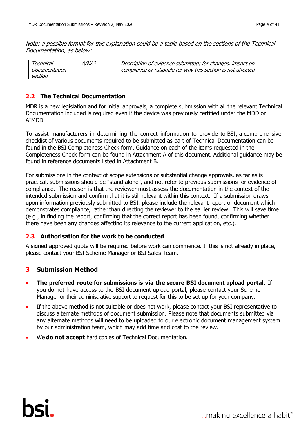Note: a possible format for this explanation could be a table based on the sections of the Technical Documentation, as below:

| Technical     | $A/NA$ ? | Description of evidence submitted; for changes, impact on    |
|---------------|----------|--------------------------------------------------------------|
| Documentation |          | compliance or rationale for why this section is not affected |
| section       |          |                                                              |

# <span id="page-3-0"></span>**2.2 The Technical Documentation**

MDR is a new legislation and for initial approvals, a complete submission with all the relevant Technical Documentation included is required even if the device was previously certified under the MDD or AIMDD.

To assist manufacturers in determining the correct information to provide to BSI, a comprehensive checklist of various documents required to be submitted as part of Technical Documentation can be found in the BSI Completeness Check form. Guidance on each of the items requested in the Completeness Check form can be found in Attachment A of this document. Additional guidance may be found in reference documents listed in Attachment B.

For submissions in the context of scope extensions or substantial change approvals, as far as is practical, submissions should be "stand alone", and not refer to previous submissions for evidence of compliance. The reason is that the reviewer must assess the documentation in the context of the intended submission and confirm that it is still relevant within this context. If a submission draws upon information previously submitted to BSI, please include the relevant report or document which demonstrates compliance, rather than directing the reviewer to the earlier review. This will save time (e.g., in finding the report, confirming that the correct report has been found, confirming whether there have been any changes affecting its relevance to the current application, etc.).

#### <span id="page-3-1"></span>**2.3 Authorisation for the work to be conducted**

A signed approved quote will be required before work can commence. If this is not already in place, please contact your BSI Scheme Manager or BSI Sales Team.

# <span id="page-3-2"></span>**3 Submission Method**

- **The preferred route for submissions is via the secure BSI document upload portal**. If you do not have access to the BSI document upload portal, please contact your Scheme Manager or their administrative support to request for this to be set up for your company.
- If the above method is not suitable or does not work, please contact your BSI representative to discuss alternate methods of document submission. Please note that documents submitted via any alternate methods will need to be uploaded to our electronic document management system by our administration team, which may add time and cost to the review.
- We **do not accept** hard copies of Technical Documentation.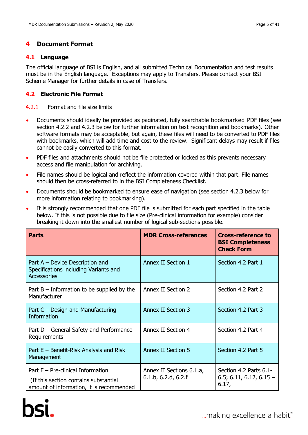# <span id="page-4-0"></span>**4 Document Format**

### <span id="page-4-1"></span>**4.1 Language**

The official language of BSI is English, and all submitted Technical Documentation and test results must be in the English language. Exceptions may apply to Transfers. Please contact your BSI Scheme Manager for further details in case of Transfers.

# <span id="page-4-2"></span>**4.2 Electronic File Format**

#### <span id="page-4-3"></span>4.2.1 Format and file size limits

- Documents should ideally be provided as paginated, fully searchable bookmarked PDF files (see section 4.2.2 and 4.2.3 below for further information on text recognition and bookmarks). Other software formats may be acceptable, but again, these files will need to be converted to PDF files with bookmarks, which will add time and cost to the review. Significant delays may result if files cannot be easily converted to this format.
- PDF files and attachments should not be file protected or locked as this prevents necessary access and file manipulation for archiving.
- File names should be logical and reflect the information covered within that part. File names should then be cross-referred to in the BSI Completeness Checklist.
- Documents should be bookmarked to ensure ease of navigation (see section 4.2.3 below for more information relating to bookmarking).
- It is strongly recommended that one PDF file is submitted for each part specified in the table below. If this is not possible due to file size (Pre-clinical information for example) consider breaking it down into the smallest number of logical sub-sections possible.

| <b>Parts</b>                                                                                                              | <b>MDR Cross-references</b>                     | <b>Cross-reference to</b><br><b>BSI Completeness</b><br><b>Check Form</b> |
|---------------------------------------------------------------------------------------------------------------------------|-------------------------------------------------|---------------------------------------------------------------------------|
| Part A – Device Description and<br>Specifications including Variants and<br><b>Accessories</b>                            | Annex II Section 1                              | Section 4.2 Part 1                                                        |
| Part $B$ – Information to be supplied by the<br>Manufacturer                                                              | Annex II Section 2                              | Section 4.2 Part 2                                                        |
| Part $C$ – Design and Manufacturing<br><b>Information</b>                                                                 | Annex II Section 3                              | Section 4.2 Part 3                                                        |
| Part D – General Safety and Performance<br>Requirements                                                                   | Annex II Section 4                              | Section 4.2 Part 4                                                        |
| Part $E$ – Benefit-Risk Analysis and Risk<br>Management                                                                   | <b>Annex II Section 5</b>                       | Section 4.2 Part 5                                                        |
| Part $F - Pre$ -clinical Information<br>(If this section contains substantial<br>amount of information, it is recommended | Annex II Sections 6.1.a,<br>6.1.b, 6.2.d, 6.2.f | Section 4.2 Parts 6.1-<br>$6.5; 6.11, 6.12, 6.15 -$<br>6.17,              |

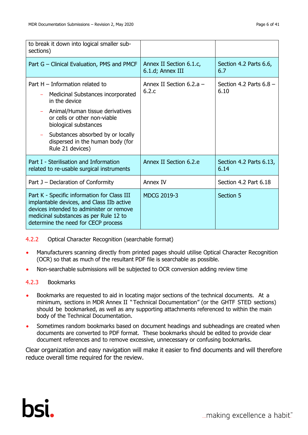| to break it down into logical smaller sub-<br>sections)                                                                                                                                                                                                                          |                                             |                                   |
|----------------------------------------------------------------------------------------------------------------------------------------------------------------------------------------------------------------------------------------------------------------------------------|---------------------------------------------|-----------------------------------|
| Part G – Clinical Evaluation, PMS and PMCF                                                                                                                                                                                                                                       | Annex II Section 6.1.c,<br>6.1.d; Annex III | Section 4.2 Parts 6.6,<br>6.7     |
| Part $H - Information$ related to<br>Medicinal Substances incorporated<br>in the device<br>Animal/Human tissue derivatives<br>or cells or other non-viable<br>biological substances<br>Substances absorbed by or locally<br>dispersed in the human body (for<br>Rule 21 devices) | Annex II Section $6.2.a -$<br>6.2.c         | Section 4.2 Parts $6.8 -$<br>6.10 |
| Part I - Sterilisation and Information<br>related to re-usable surgical instruments                                                                                                                                                                                              | Annex II Section 6.2.e                      | Section 4.2 Parts 6.13,<br>6.14   |
| Part J – Declaration of Conformity                                                                                                                                                                                                                                               | Annex IV                                    | Section 4.2 Part 6.18             |
| Part K - Specific information for Class III<br>implantable devices, and Class IIb active<br>devices intended to administer or remove<br>medicinal substances as per Rule 12 to<br>determine the need for CECP process                                                            | <b>MDCG 2019-3</b>                          | Section 5                         |

#### <span id="page-5-0"></span>4.2.2 Optical Character Recognition (searchable format)

- Manufacturers scanning directly from printed pages should utilise Optical Character Recognition (OCR) so that as much of the resultant PDF file is searchable as possible.
- Non-searchable submissions will be subjected to OCR conversion adding review time

# <span id="page-5-1"></span>4.2.3 Bookmarks

- Bookmarks are requested to aid in locating major sections of the technical documents. At a minimum, sections in MDR Annex II "Technical Documentation" (or the GHTF STED sections) should be bookmarked, as well as any supporting attachments referenced to within the main body of the Technical Documentation.
- Sometimes random bookmarks based on document headings and subheadings are created when documents are converted to PDF format. These bookmarks should be edited to provide clear document references and to remove excessive, unnecessary or confusing bookmarks.

Clear organization and easy navigation will make it easier to find documents and will therefore reduce overall time required for the review.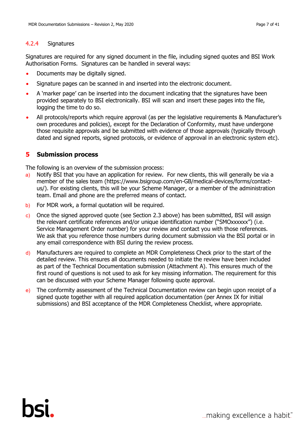#### <span id="page-6-0"></span>4.2.4 Signatures

Signatures are required for any signed document in the file, including signed quotes and BSI Work Authorisation Forms. Signatures can be handled in several ways:

- Documents may be digitally signed.
- Signature pages can be scanned in and inserted into the electronic document.
- A 'marker page' can be inserted into the document indicating that the signatures have been provided separately to BSI electronically. BSI will scan and insert these pages into the file, logging the time to do so.
- All protocols/reports which require approval (as per the legislative requirements & Manufacturer's own procedures and policies), except for the Declaration of Conformity, must have undergone those requisite approvals and be submitted with evidence of those approvals (typically through dated and signed reports, signed protocols, or evidence of approval in an electronic system etc).

### <span id="page-6-1"></span>**5 Submission process**

The following is an overview of the submission process:

- a) Notify BSI that you have an application for review. For new clients, this will generally be via a member of the sales team (https://www.bsigroup.com/en-GB/medical-devices/forms/contactus/). For existing clients, this will be your Scheme Manager, or a member of the administration team. Email and phone are the preferred means of contact.
- b) For MDR work, a formal quotation will be required.
- c) Once the signed approved quote (see Section 2.3 above) has been submitted, BSI will assign the relevant certificate references and/or unique identification number ("SMOxxxxxx") (i.e. Service Management Order number) for your review and contact you with those references. We ask that you reference those numbers during document submission via the BSI portal or in any email correspondence with BSI during the review process.
- d) Manufacturers are required to complete an MDR Completeness Check prior to the start of the detailed review. This ensures all documents needed to initiate the review have been included as part of the Technical Documentation submission (Attachment A). This ensures much of the first round of questions is not used to ask for key missing information. The requirement for this can be discussed with your Scheme Manager following quote approval.
- e) The conformity assessment of the Technical Documentation review can begin upon receipt of a signed quote together with all required application documentation (per Annex IX for initial submissions) and BSI acceptance of the MDR Completeness Checklist, where appropriate.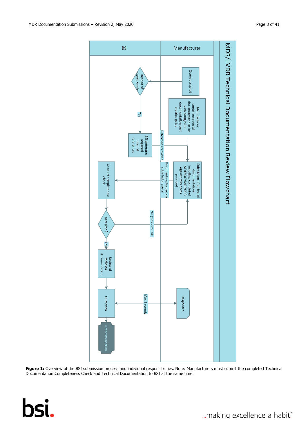

Figure 1: Overview of the BSI submission process and individual responsibilities. Note: Manufacturers must submit the completed Technical Documentation Completeness Check and Technical Documentation to BSI at the same time.

# bsi.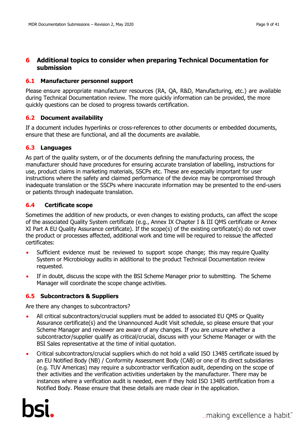# <span id="page-8-0"></span>**6 Additional topics to consider when preparing Technical Documentation for submission**

#### <span id="page-8-1"></span>**6.1 Manufacturer personnel support**

Please ensure appropriate manufacturer resources (RA, QA, R&D, Manufacturing, etc.) are available during Technical Documentation review. The more quickly information can be provided, the more quickly questions can be closed to progress towards certification.

#### <span id="page-8-2"></span>**6.2 Document availability**

If a document includes hyperlinks or cross-references to other documents or embedded documents, ensure that these are functional, and all the documents are available.

#### <span id="page-8-3"></span>**6.3 Languages**

As part of the quality system, or of the documents defining the manufacturing process, the manufacturer should have procedures for ensuring accurate translation of labelling, instructions for use, product claims in marketing materials, SSCPs etc. These are especially important for user instructions where the safety and claimed performance of the device may be compromised through inadequate translation or the SSCPs where inaccurate information may be presented to the end-users or patients through inadequate translation.

#### <span id="page-8-4"></span>**6.4 Certificate scope**

Sometimes the addition of new products, or even changes to existing products, can affect the scope of the associated Quality System certificate (e.g., Annex IX Chapter I & III QMS certificate or Annex XI Part A EU Quality Assurance certificate). If the scope(s) of the existing certificate(s) do not cover the product or processes affected, additional work and time will be required to reissue the affected certificates:

- Sufficient evidence must be reviewed to support scope change; this may require Quality System or Microbiology audits in additional to the product Technical Documentation review requested.
- If in doubt, discuss the scope with the BSI Scheme Manager prior to submitting. The Scheme Manager will coordinate the scope change activities.

#### <span id="page-8-5"></span>**6.5 Subcontractors & Suppliers**

Are there any changes to subcontractors?

- All critical subcontractors/crucial suppliers must be added to associated EU QMS or Quality Assurance certificate(s) and the Unannounced Audit Visit schedule, so please ensure that your Scheme Manager and reviewer are aware of any changes. If you are unsure whether a subcontractor/supplier qualify as critical/crucial, discuss with your Scheme Manager or with the BSI Sales representative at the time of initial quotation.
- Critical subcontractors/crucial suppliers which do not hold a valid ISO 13485 certificate issued by an EU Notified Body (NB) / Conformity Assessment Body (CAB) or one of its direct subsidiaries (e.g. TUV Americas) may require a subcontractor verification audit, depending on the scope of their activities and the verification activities undertaken by the manufacturer. There may be instances where a verification audit is needed, even if they hold ISO 13485 certification from a Notified Body. Please ensure that these details are made clear in the application.

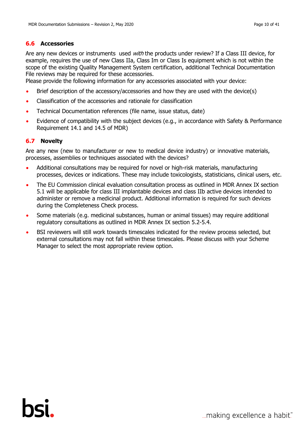<span id="page-9-0"></span>Are any new devices or instruments used *with* the products under review? If a Class III device, for example, requires the use of new Class IIa, Class Im or Class Is equipment which is not within the scope of the existing Quality Management System certification, additional Technical Documentation File reviews may be required for these accessories.

Please provide the following information for any accessories associated with your device:

- Brief description of the accessory/accessories and how they are used with the device(s)
- Classification of the accessories and rationale for classification
- Technical Documentation references (file name, issue status, date)
- Evidence of compatibility with the subject devices (e.g., in accordance with Safety & Performance Requirement 14.1 and 14.5 of MDR)

# <span id="page-9-1"></span>**6.7 Novelty**

Are any new (new to manufacturer or new to medical device industry) or innovative materials, processes, assemblies or techniques associated with the devices?

- Additional consultations may be required for novel or high-risk materials, manufacturing processes, devices or indications. These may include toxicologists, statisticians, clinical users, etc.
- The EU Commission clinical evaluation consultation process as outlined in MDR Annex IX section 5.1 will be applicable for class III implantable devices and class IIb active devices intended to administer or remove a medicinal product. Additional information is required for such devices during the Completeness Check process.
- Some materials (e.g. medicinal substances, human or animal tissues) may require additional regulatory consultations as outlined in MDR Annex IX section 5.2-5.4.
- BSI reviewers will still work towards timescales indicated for the review process selected, but external consultations may not fall within these timescales. Please discuss with your Scheme Manager to select the most appropriate review option.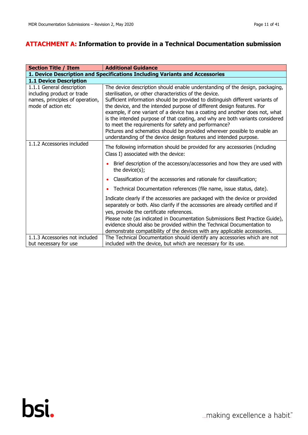# <span id="page-10-0"></span>**ATTACHMENT A: Information to provide in a Technical Documentation submission**

| <b>Section Title / Item</b>                                                                                      | <b>Additional Guidance</b>                                                                                                                                                                                                                                                                                                                                                                                                                                                                                                                                                                                                                                                    |  |  |
|------------------------------------------------------------------------------------------------------------------|-------------------------------------------------------------------------------------------------------------------------------------------------------------------------------------------------------------------------------------------------------------------------------------------------------------------------------------------------------------------------------------------------------------------------------------------------------------------------------------------------------------------------------------------------------------------------------------------------------------------------------------------------------------------------------|--|--|
| 1. Device Description and Specifications Including Variants and Accessories                                      |                                                                                                                                                                                                                                                                                                                                                                                                                                                                                                                                                                                                                                                                               |  |  |
| <b>1.1 Device Description</b>                                                                                    |                                                                                                                                                                                                                                                                                                                                                                                                                                                                                                                                                                                                                                                                               |  |  |
| 1.1.1 General description<br>including product or trade<br>names, principles of operation,<br>mode of action etc | The device description should enable understanding of the design, packaging,<br>sterilisation, or other characteristics of the device.<br>Sufficient information should be provided to distinguish different variants of<br>the device, and the intended purpose of different design features. For<br>example, if one variant of a device has a coating and another does not, what<br>is the intended purpose of that coating, and why are both variants considered<br>to meet the requirements for safety and performance?<br>Pictures and schematics should be provided wherever possible to enable an<br>understanding of the device design features and intended purpose. |  |  |
| 1.1.2 Accessories included                                                                                       | The following information should be provided for any accessories (including<br>Class I) associated with the device:                                                                                                                                                                                                                                                                                                                                                                                                                                                                                                                                                           |  |  |
|                                                                                                                  | Brief description of the accessory/accessories and how they are used with<br>the device(s);                                                                                                                                                                                                                                                                                                                                                                                                                                                                                                                                                                                   |  |  |
|                                                                                                                  | Classification of the accessories and rationale for classification;                                                                                                                                                                                                                                                                                                                                                                                                                                                                                                                                                                                                           |  |  |
|                                                                                                                  | Technical Documentation references (file name, issue status, date).<br>٠                                                                                                                                                                                                                                                                                                                                                                                                                                                                                                                                                                                                      |  |  |
|                                                                                                                  | Indicate clearly if the accessories are packaged with the device or provided<br>separately or both. Also clarify if the accessories are already certified and if<br>yes, provide the certificate references.<br>Please note (as indicated in Documentation Submissions Best Practice Guide),<br>evidence should also be provided within the Technical Documentation to<br>demonstrate compatibility of the devices with any applicable accessories.                                                                                                                                                                                                                           |  |  |
| 1.1.3 Accessories not included                                                                                   | The Technical Documentation should identify any accessories which are not                                                                                                                                                                                                                                                                                                                                                                                                                                                                                                                                                                                                     |  |  |
| but necessary for use                                                                                            | included with the device, but which are necessary for its use.                                                                                                                                                                                                                                                                                                                                                                                                                                                                                                                                                                                                                |  |  |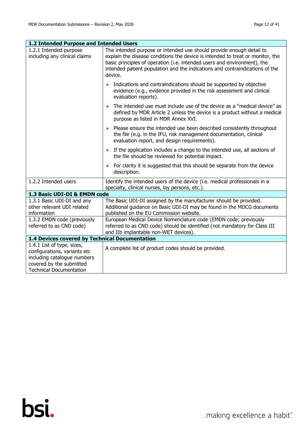| 1.2 Intended Purpose and Intended Users                                                                                                                 |                                                                                                                                                                                                                                                                                                                               |  |  |
|---------------------------------------------------------------------------------------------------------------------------------------------------------|-------------------------------------------------------------------------------------------------------------------------------------------------------------------------------------------------------------------------------------------------------------------------------------------------------------------------------|--|--|
| 1.2.1 Intended purpose<br>including any clinical claims                                                                                                 | The intended purpose or intended use should provide enough detail to<br>explain the disease conditions the device is intended to treat or monitor, the<br>basic principles of operation (i.e. intended users and environment), the<br>intended patient population and the indications and contraindications of the<br>device. |  |  |
|                                                                                                                                                         | Indications and contraindications should be supported by objective<br>$\bullet$<br>evidence (e.g., evidence provided in the risk assessment and clinical<br>evaluation reports).                                                                                                                                              |  |  |
|                                                                                                                                                         | The intended use must include use of the device as a "medical device" as<br>defined by MDR Article 2 unless the device is a product without a medical<br>purpose as listed in MDR Annex XVI.                                                                                                                                  |  |  |
|                                                                                                                                                         | Please ensure the intended use been described consistently throughout<br>$\bullet$<br>the file (e.g. in the IFU, risk management documentation, clinical<br>evaluation report, and design requirements).                                                                                                                      |  |  |
|                                                                                                                                                         | If the application includes a change to the intended use, all sections of<br>$\bullet$<br>the file should be reviewed for potential impact.                                                                                                                                                                                   |  |  |
|                                                                                                                                                         | For clarity it is suggested that this should be separate from the device<br>$\bullet$<br>description.                                                                                                                                                                                                                         |  |  |
| 1.2.2 Intended users                                                                                                                                    | Identify the intended users of the device (i.e. medical professionals in a<br>specialty, clinical nurses, lay persons, etc.).                                                                                                                                                                                                 |  |  |
| 1.3 Basic UDI-DI & EMDN code                                                                                                                            |                                                                                                                                                                                                                                                                                                                               |  |  |
| 1.3.1 Basic UDI-DI and any<br>other relevant UDI related<br>information                                                                                 | The Basic UDI-DI assigned by the manufacturer should be provided.<br>Additional guidance on Basic UDI-DI may be found in the MDCG documents<br>published on the EU Commission website.                                                                                                                                        |  |  |
| 1.3.2 EMDN code (previously<br>referred to as CND code)                                                                                                 | European Medical Device Nomenclature code (EMDN code; previously<br>referred to as CND code) should be identified (not mandatory for Class III<br>and IIb implantable non-WET devices).                                                                                                                                       |  |  |
| 1.4 Devices covered by Technical Documentation                                                                                                          |                                                                                                                                                                                                                                                                                                                               |  |  |
| 1.4.1 List of type, sizes,<br>configurations, variants etc<br>including catalogue numbers<br>covered by the submitted<br><b>Technical Documentation</b> | A complete list of product codes should be provided.                                                                                                                                                                                                                                                                          |  |  |

... making excellence a habit."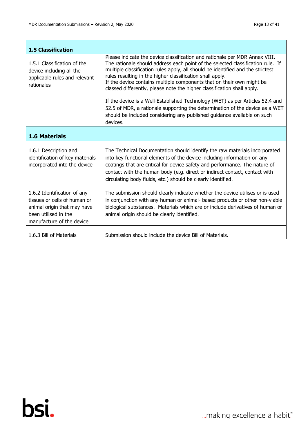$\overline{\phantom{a}}$ 

i.

| <b>1.5 Classification</b>                                                                                                                       |                                                                                                                                                                                                                                                                                                                                                                                                                                                                                                                                                                                                                                                                                                                            |  |  |
|-------------------------------------------------------------------------------------------------------------------------------------------------|----------------------------------------------------------------------------------------------------------------------------------------------------------------------------------------------------------------------------------------------------------------------------------------------------------------------------------------------------------------------------------------------------------------------------------------------------------------------------------------------------------------------------------------------------------------------------------------------------------------------------------------------------------------------------------------------------------------------------|--|--|
| 1.5.1 Classification of the<br>device including all the<br>applicable rules and relevant<br>rationales                                          | Please indicate the device classification and rationale per MDR Annex VIII.<br>The rationale should address each point of the selected classification rule. If<br>multiple classification rules apply, all should be identified and the strictest<br>rules resulting in the higher classification shall apply.<br>If the device contains multiple components that on their own might be<br>classed differently, please note the higher classification shall apply.<br>If the device is a Well-Established Technology (WET) as per Articles 52.4 and<br>52.5 of MDR, a rationale supporting the determination of the device as a WET<br>should be included considering any published guidance available on such<br>devices. |  |  |
| <b>1.6 Materials</b>                                                                                                                            |                                                                                                                                                                                                                                                                                                                                                                                                                                                                                                                                                                                                                                                                                                                            |  |  |
| 1.6.1 Description and<br>identification of key materials<br>incorporated into the device                                                        | The Technical Documentation should identify the raw materials incorporated<br>into key functional elements of the device including information on any<br>coatings that are critical for device safety and performance. The nature of<br>contact with the human body (e.g. direct or indirect contact, contact with<br>circulating body fluids, etc.) should be clearly identified.                                                                                                                                                                                                                                                                                                                                         |  |  |
| 1.6.2 Identification of any<br>tissues or cells of human or<br>animal origin that may have<br>been utilised in the<br>manufacture of the device | The submission should clearly indicate whether the device utilises or is used<br>in conjunction with any human or animal- based products or other non-viable<br>biological substances. Materials which are or include derivatives of human or<br>animal origin should be clearly identified.                                                                                                                                                                                                                                                                                                                                                                                                                               |  |  |
| 1.6.3 Bill of Materials                                                                                                                         | Submission should include the device Bill of Materials.                                                                                                                                                                                                                                                                                                                                                                                                                                                                                                                                                                                                                                                                    |  |  |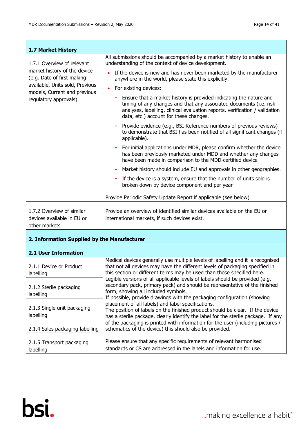| <b>1.7 Market History</b>                                                |                                                                                                                                                                                                                                                                   |  |  |
|--------------------------------------------------------------------------|-------------------------------------------------------------------------------------------------------------------------------------------------------------------------------------------------------------------------------------------------------------------|--|--|
| 1.7.1 Overview of relevant                                               | All submissions should be accompanied by a market history to enable an<br>understanding of the context of device development.                                                                                                                                     |  |  |
| market history of the device<br>(e.g. Date of first making               | If the device is new and has never been marketed by the manufacturer<br>anywhere in the world, please state this explicitly.                                                                                                                                      |  |  |
| available, Units sold, Previous<br>models, Current and previous          | For existing devices:<br>$\bullet$                                                                                                                                                                                                                                |  |  |
| regulatory approvals)                                                    | Ensure that a market history is provided indicating the nature and<br>timing of any changes and that any associated documents (i.e. risk<br>analyses, labelling, clinical evaluation reports, verification / validation<br>data, etc.) account for these changes. |  |  |
|                                                                          | Provide evidence (e.g., BSI Reference numbers of previous reviews)<br>$\sim$<br>to demonstrate that BSI has been notified of all significant changes (if<br>applicable).                                                                                          |  |  |
|                                                                          | For initial applications under MDR, please confirm whether the device<br>has been previously marketed under MDD and whether any changes<br>have been made in comparison to the MDD-certified device                                                               |  |  |
|                                                                          | Market history should include EU and approvals in other geographies.                                                                                                                                                                                              |  |  |
|                                                                          | If the device is a system, ensure that the number of units sold is<br>broken down by device component and per year                                                                                                                                                |  |  |
|                                                                          | Provide Periodic Safety Update Report if applicable (see below)                                                                                                                                                                                                   |  |  |
| 1.7.2 Overview of similar<br>devices available in EU or<br>other markets | Provide an overview of identified similar devices available on the EU or<br>international markets, if such devices exist.                                                                                                                                         |  |  |

# **2. Information Supplied by the Manufacturer**

#### **2.1 User Information**

| 2.1.1 Device or Product<br>labelling     | Medical devices generally use multiple levels of labelling and it is recognised<br>that not all devices may have the different levels of packaging specified in<br>this section or different terms may be used than those specified here.                                                                                                                                                                                                                                                                |  |
|------------------------------------------|----------------------------------------------------------------------------------------------------------------------------------------------------------------------------------------------------------------------------------------------------------------------------------------------------------------------------------------------------------------------------------------------------------------------------------------------------------------------------------------------------------|--|
| 2.1.2 Sterile packaging<br>labelling     | Legible versions of all applicable levels of labels should be provided (e.g.<br>secondary pack, primary pack) and should be representative of the finished<br>form, showing all included symbols.<br>If possible, provide drawings with the packaging configuration (showing<br>placement of all labels) and label specifications.<br>The position of labels on the finished product should be clear. If the device<br>has a sterile package, clearly identify the label for the sterile package. If any |  |
| 2.1.3 Single unit packaging<br>labelling |                                                                                                                                                                                                                                                                                                                                                                                                                                                                                                          |  |
| 2.1.4 Sales packaging labelling          | of the packaging is printed with information for the user (including pictures /<br>schematics of the device) this should also be provided.                                                                                                                                                                                                                                                                                                                                                               |  |
| 2.1.5 Transport packaging<br>labelling   | Please ensure that any specific requirements of relevant harmonised<br>standards or CS are addressed in the labels and information for use.                                                                                                                                                                                                                                                                                                                                                              |  |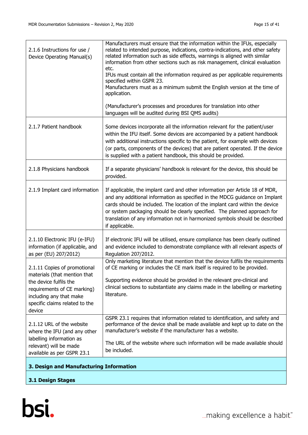| 3. Design and Manufacturing Information                                                                                                                                                      |                                                                                                                                                                                                                                                                                                                                                                                                                            |  |
|----------------------------------------------------------------------------------------------------------------------------------------------------------------------------------------------|----------------------------------------------------------------------------------------------------------------------------------------------------------------------------------------------------------------------------------------------------------------------------------------------------------------------------------------------------------------------------------------------------------------------------|--|
| where the IFU (and any other<br>labelling information as<br>relevant) will be made<br>available as per GSPR 23.1                                                                             | The URL of the website where such information will be made available should<br>be included.                                                                                                                                                                                                                                                                                                                                |  |
| 2.1.12 URL of the website                                                                                                                                                                    | GSPR 23.1 requires that information related to identification, and safety and<br>performance of the device shall be made available and kept up to date on the<br>manufacturer's website if the manufacturer has a website.                                                                                                                                                                                                 |  |
| 2.1.11 Copies of promotional<br>materials (that mention that<br>the device fulfils the<br>requirements of CE marking)<br>including any that make<br>specific claims related to the<br>device | Only marketing literature that mention that the device fulfils the requirements<br>of CE marking or includes the CE mark itself is required to be provided.<br>Supporting evidence should be provided in the relevant pre-clinical and<br>clinical sections to substantiate any claims made in the labelling or marketing<br>literature.                                                                                   |  |
| 2.1.10 Electronic IFU (e-IFU)<br>information (if applicable, and<br>as per (EU) 207/2012)                                                                                                    | If electronic IFU will be utilised, ensure compliance has been clearly outlined<br>and evidence included to demonstrate compliance with all relevant aspects of<br>Regulation 207/2012.                                                                                                                                                                                                                                    |  |
| 2.1.9 Implant card information                                                                                                                                                               | If applicable, the implant card and other information per Article 18 of MDR,<br>and any additional information as specified in the MDCG guidance on Implant<br>cards should be included. The location of the implant card within the device<br>or system packaging should be clearly specified. The planned approach for<br>translation of any information not in harmonized symbols should be described<br>if applicable. |  |
| 2.1.8 Physicians handbook                                                                                                                                                                    | If a separate physicians' handbook is relevant for the device, this should be<br>provided.                                                                                                                                                                                                                                                                                                                                 |  |
| 2.1.7 Patient handbook                                                                                                                                                                       | Some devices incorporate all the information relevant for the patient/user<br>within the IFU itself. Some devices are accompanied by a patient handbook<br>with additional instructions specific to the patient, for example with devices<br>(or parts, components of the devices) that are patient operated. If the device<br>is supplied with a patient handbook, this should be provided.                               |  |
|                                                                                                                                                                                              | (Manufacturer's processes and procedures for translation into other<br>languages will be audited during BSI QMS audits)                                                                                                                                                                                                                                                                                                    |  |
|                                                                                                                                                                                              | etc.<br>IFUs must contain all the information required as per applicable requirements<br>specified within GSPR 23.<br>Manufacturers must as a minimum submit the English version at the time of<br>application.                                                                                                                                                                                                            |  |
| 2.1.6 Instructions for use /<br>Device Operating Manual(s)                                                                                                                                   | Manufacturers must ensure that the information within the IFUs, especially<br>related to intended purpose, indications, contra-indications, and other safety<br>related information such as side effects, warnings is aligned with similar<br>information from other sections such as risk management, clinical evaluation                                                                                                 |  |

**3.1 Design Stages**

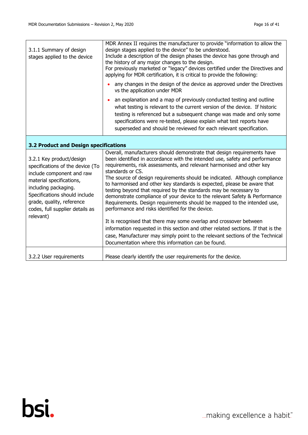| 3.1.1 Summary of design<br>stages applied to the device                                                                                                                                                                                                     | MDR Annex II requires the manufacturer to provide "information to allow the<br>design stages applied to the device" to be understood.<br>Include a description of the design phases the device has gone through and<br>the history of any major changes to the design.<br>For previously marketed or "legacy" devices certified under the Directives and<br>applying for MDR certification, it is critical to provide the following:                                                                                                                                                                                                                                                                                                                                                                                                                                                                                                                                                            |  |  |
|-------------------------------------------------------------------------------------------------------------------------------------------------------------------------------------------------------------------------------------------------------------|-------------------------------------------------------------------------------------------------------------------------------------------------------------------------------------------------------------------------------------------------------------------------------------------------------------------------------------------------------------------------------------------------------------------------------------------------------------------------------------------------------------------------------------------------------------------------------------------------------------------------------------------------------------------------------------------------------------------------------------------------------------------------------------------------------------------------------------------------------------------------------------------------------------------------------------------------------------------------------------------------|--|--|
|                                                                                                                                                                                                                                                             | any changes in the design of the device as approved under the Directives<br>vs the application under MDR                                                                                                                                                                                                                                                                                                                                                                                                                                                                                                                                                                                                                                                                                                                                                                                                                                                                                        |  |  |
|                                                                                                                                                                                                                                                             | an explanation and a map of previously conducted testing and outline<br>$\bullet$<br>what testing is relevant to the current version of the device. If historic<br>testing is referenced but a subsequent change was made and only some<br>specifications were re-tested, please explain what test reports have<br>superseded and should be reviewed for each relevant specification.                                                                                                                                                                                                                                                                                                                                                                                                                                                                                                                                                                                                           |  |  |
| 3.2 Product and Design specifications                                                                                                                                                                                                                       |                                                                                                                                                                                                                                                                                                                                                                                                                                                                                                                                                                                                                                                                                                                                                                                                                                                                                                                                                                                                 |  |  |
| 3.2.1 Key product/design<br>specifications of the device (To<br>include component and raw<br>material specifications,<br>including packaging.<br>Specifications should include<br>grade, quality, reference<br>codes, full supplier details as<br>relevant) | Overall, manufacturers should demonstrate that design requirements have<br>been identified in accordance with the intended use, safety and performance<br>requirements, risk assessments, and relevant harmonised and other key<br>standards or CS.<br>The source of design requirements should be indicated. Although compliance<br>to harmonised and other key standards is expected, please be aware that<br>testing beyond that required by the standards may be necessary to<br>demonstrate compliance of your device to the relevant Safety & Performance<br>Requirements. Design requirements should be mapped to the intended use,<br>performance and risks identified for the device.<br>It is recognised that there may some overlap and crossover between<br>information requested in this section and other related sections. If that is the<br>case, Manufacturer may simply point to the relevant sections of the Technical<br>Documentation where this information can be found. |  |  |
| 3.2.2 User requirements                                                                                                                                                                                                                                     | Please clearly identify the user requirements for the device.                                                                                                                                                                                                                                                                                                                                                                                                                                                                                                                                                                                                                                                                                                                                                                                                                                                                                                                                   |  |  |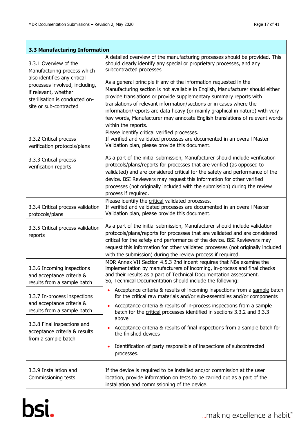T

 $\overline{\phantom{a}}$ 

| 3.3 Manufacturing Information                                                                                                                                                                              |                                                                                                                                                                                                                                                                                                                                                                                                                                                                                                                                                                                                                                                                          |  |  |
|------------------------------------------------------------------------------------------------------------------------------------------------------------------------------------------------------------|--------------------------------------------------------------------------------------------------------------------------------------------------------------------------------------------------------------------------------------------------------------------------------------------------------------------------------------------------------------------------------------------------------------------------------------------------------------------------------------------------------------------------------------------------------------------------------------------------------------------------------------------------------------------------|--|--|
| 3.3.1 Overview of the<br>Manufacturing process which<br>also identifies any critical<br>processes involved, including,<br>if relevant, whether<br>sterilisation is conducted on-<br>site or sub-contracted | A detailed overview of the manufacturing processes should be provided. This<br>should clearly identify any special or proprietary processes, and any<br>subcontracted processes<br>As a general principle if any of the information requested in the<br>Manufacturing section is not available in English, Manufacturer should either<br>provide translations or provide supplementary summary reports with<br>translations of relevant information/sections or in cases where the<br>information/reports are data heavy (or mainly graphical in nature) with very<br>few words, Manufacturer may annotate English translations of relevant words<br>within the reports. |  |  |
| 3.3.2 Critical process<br>verification protocols/plans                                                                                                                                                     | Please identify critical verified processes.<br>If verified and validated processes are documented in an overall Master<br>Validation plan, please provide this document.                                                                                                                                                                                                                                                                                                                                                                                                                                                                                                |  |  |
| 3.3.3 Critical process<br>verification reports                                                                                                                                                             | As a part of the initial submission, Manufacturer should include verification<br>protocols/plans/reports for processes that are verified (as opposed to<br>validated) and are considered critical for the safety and performance of the<br>device. BSI Reviewers may request this information for other verified<br>processes (not originally included with the submission) during the review<br>process if required.                                                                                                                                                                                                                                                    |  |  |
| 3.3.4 Critical process validation<br>protocols/plans                                                                                                                                                       | Please identify the critical validated processes.<br>If verified and validated processes are documented in an overall Master<br>Validation plan, please provide this document.                                                                                                                                                                                                                                                                                                                                                                                                                                                                                           |  |  |
| 3.3.5 Critical process validation<br>reports                                                                                                                                                               | As a part of the initial submission, Manufacturer should include validation<br>protocols/plans/reports for processes that are validated and are considered<br>critical for the safety and performance of the device. BSI Reviewers may<br>request this information for other validated processes (not originally included<br>with the submission) during the review process if required.                                                                                                                                                                                                                                                                                 |  |  |
| 3.3.6 Incoming inspections<br>and acceptance criteria &<br>results from a sample batch                                                                                                                     | MDR Annex VII Section 4.5.3 2nd indent requires that NBs examine the<br>implementation by manufacturers of incoming, in-process and final checks<br>and their results as a part of Technical Documentation assessment.<br>So, Technical Documentation should include the following:                                                                                                                                                                                                                                                                                                                                                                                      |  |  |
| 3.3.7 In-process inspections<br>and acceptance criteria &<br>results from a sample batch                                                                                                                   | Acceptance criteria & results of incoming inspections from a sample batch<br>$\bullet$<br>for the critical raw materials and/or sub-assemblies and/or components<br>Acceptance criteria & results of in-process inspections from a sample<br>batch for the critical processes identified in sections 3.3.2 and 3.3.3                                                                                                                                                                                                                                                                                                                                                     |  |  |
| 3.3.8 Final inspections and<br>acceptance criteria & results<br>from a sample batch                                                                                                                        | above<br>Acceptance criteria & results of final inspections from a sample batch for<br>the finished devices<br>Identification of party responsible of inspections of subcontracted<br>$\bullet$<br>processes.                                                                                                                                                                                                                                                                                                                                                                                                                                                            |  |  |
| 3.3.9 Installation and<br>Commissioning tests                                                                                                                                                              | If the device is required to be installed and/or commission at the user<br>location, provide information on tests to be carried out as a part of the<br>installation and commissioning of the device.                                                                                                                                                                                                                                                                                                                                                                                                                                                                    |  |  |

# bsi.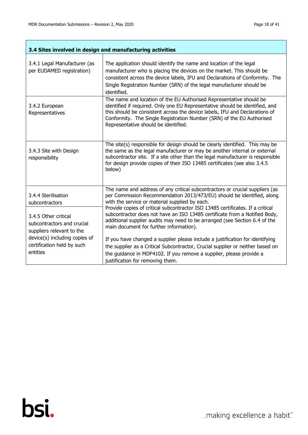$\overline{\phantom{a}}$ 

ï

| 3.4 Sites involved in design and manufacturing activities                       |                                                                                                                                                                                                                                                                                                                                                                                                                                                                                                   |  |
|---------------------------------------------------------------------------------|---------------------------------------------------------------------------------------------------------------------------------------------------------------------------------------------------------------------------------------------------------------------------------------------------------------------------------------------------------------------------------------------------------------------------------------------------------------------------------------------------|--|
| 3.4.1 Legal Manufacturer (as<br>per EUDAMED registration)                       | The application should identify the name and location of the legal<br>manufacturer who is placing the devices on the market. This should be<br>consistent across the device labels, IFU and Declarations of Conformity. The<br>Single Registration Number (SRN) of the legal manufacturer should be<br>identified.                                                                                                                                                                                |  |
| 3.4.2 European<br>Representatives                                               | The name and location of the EU Authorised Representative should be<br>identified if required. Only one EU Representative should be identified, and<br>this should be consistent across the device labels, IFU and Declarations of<br>Conformity. The Single Registration Number (SRN) of the EU Authorised<br>Representative should be identified.                                                                                                                                               |  |
| 3.4.3 Site with Design<br>responsibility                                        | The site(s) responsible for design should be clearly identified. This may be<br>the same as the legal manufacturer or may be another internal or external<br>subcontractor site. If a site other than the legal manufacturer is responsible<br>for design provide copies of their ISO 13485 certificates (see also 3.4.5<br>below)                                                                                                                                                                |  |
| 3.4.4 Sterilisation<br>subcontractors                                           | The name and address of any critical subcontractors or crucial suppliers (as<br>per Commission Recommendation 2013/473/EU) should be identified, along<br>with the service or material supplied by each.<br>Provide copies of critical subcontractor ISO 13485 certificates. If a critical<br>subcontractor does not have an ISO 13485 certificate from a Notified Body,<br>additional supplier audits may need to be arranged (see Section 6.4 of the<br>main document for further information). |  |
| 3.4.5 Other critical<br>subcontractors and crucial<br>suppliers relevant to the |                                                                                                                                                                                                                                                                                                                                                                                                                                                                                                   |  |
| device(s) including copies of<br>certification held by such<br>entities         | If you have changed a supplier please include a justification for identifying<br>the supplier as a Critical Subcontractor, Crucial supplier or neither based on<br>the guidance in MDF4102. If you remove a supplier, please provide a<br>justification for removing them.                                                                                                                                                                                                                        |  |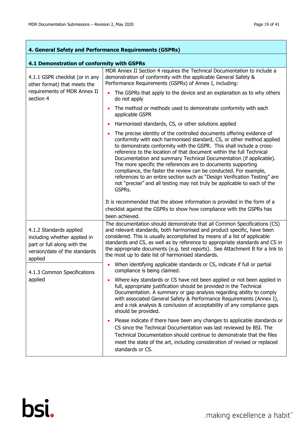$\overline{\phantom{a}}$ 

Ĩ.

| 4. General Safety and Performance Requirements (GSPRs)                                                                  |                                                                                                                                                                                                                                                                                                                                                                                                                                                                                                                                                                                                                                                                             |  |
|-------------------------------------------------------------------------------------------------------------------------|-----------------------------------------------------------------------------------------------------------------------------------------------------------------------------------------------------------------------------------------------------------------------------------------------------------------------------------------------------------------------------------------------------------------------------------------------------------------------------------------------------------------------------------------------------------------------------------------------------------------------------------------------------------------------------|--|
| 4.1 Demonstration of conformity with GSPRs                                                                              |                                                                                                                                                                                                                                                                                                                                                                                                                                                                                                                                                                                                                                                                             |  |
| 4.1.1 GSPR checklist (or in any<br>other format) that meets the                                                         | MDR Annex II Section 4 requires the Technical Documentation to include a<br>demonstration of conformity with the applicable General Safety &<br>Performance Requirements (GSPRs) of Annex I, including:                                                                                                                                                                                                                                                                                                                                                                                                                                                                     |  |
| requirements of MDR Annex II<br>section 4                                                                               | The GSPRs that apply to the device and an explanation as to why others<br>do not apply                                                                                                                                                                                                                                                                                                                                                                                                                                                                                                                                                                                      |  |
|                                                                                                                         | The method or methods used to demonstrate conformity with each<br>applicable GSPR                                                                                                                                                                                                                                                                                                                                                                                                                                                                                                                                                                                           |  |
|                                                                                                                         | Harmonised standards, CS, or other solutions applied                                                                                                                                                                                                                                                                                                                                                                                                                                                                                                                                                                                                                        |  |
|                                                                                                                         | The precise identity of the controlled documents offering evidence of<br>conformity with each harmonised standard, CS, or other method applied<br>to demonstrate conformity with the GSPR. This shall include a cross-<br>reference to the location of that document within the full Technical<br>Documentation and summary Technical Documentation (if applicable).<br>The more specific the references are to documents supporting<br>compliance, the faster the review can be conducted. For example,<br>references to an entire section such as "Design Verification Testing" are<br>not "precise" and all testing may not truly be applicable to each of the<br>GSPRs. |  |
|                                                                                                                         | It is recommended that the above information is provided in the form of a<br>checklist against the GSPRs to show how compliance with the GSPRs has<br>been achieved.                                                                                                                                                                                                                                                                                                                                                                                                                                                                                                        |  |
| 4.1.2 Standards applied<br>including whether applied in<br>part or full along with the<br>version/date of the standards | The documentation should demonstrate that all Common Specifications (CS)<br>and relevant standards, both harmonised and product specific, have been<br>considered. This is usually accomplished by means of a list of applicable<br>standards and CS, as well as by reference to appropriate standards and CS in<br>the appropriate documents (e.g. test reports). See Attachment B for a link to<br>the most up to date list of harmonised standards.                                                                                                                                                                                                                      |  |
| applied<br>4.1.3 Common Specifications<br>applied                                                                       | When identifying applicable standards or CS, indicate if full or partial<br>compliance is being claimed.                                                                                                                                                                                                                                                                                                                                                                                                                                                                                                                                                                    |  |
|                                                                                                                         | Where key standards or CS have not been applied or not been applied in<br>full, appropriate justification should be provided in the Technical<br>Documentation. A summary or gap analysis regarding ability to comply<br>with associated General Safety & Performance Requirements (Annex I),<br>and a risk analysis & conclusion of acceptability of any compliance gaps<br>should be provided.                                                                                                                                                                                                                                                                            |  |
|                                                                                                                         | Please indicate if there have been any changes to applicable standards or<br>CS since the Technical Documentation was last reviewed by BSI. The<br>Technical Documentation should continue to demonstrate that the files<br>meet the state of the art, including consideration of revised or replaced<br>standards or CS.                                                                                                                                                                                                                                                                                                                                                   |  |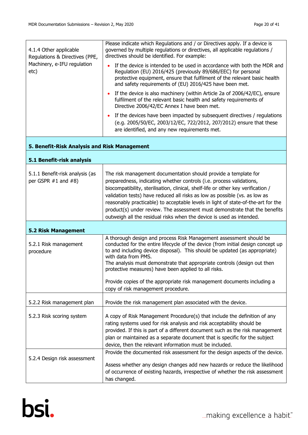| 4.1.4 Other applicable<br>Regulations & Directives (PPE,<br>Machinery, e-IFU regulation<br>etc) | Please indicate which Regulations and / or Directives apply. If a device is<br>governed by multiple regulations or directives, all applicable regulations /<br>directives should be identified. For example:                                                                                                                                                                                                                                                                                                                                          |
|-------------------------------------------------------------------------------------------------|-------------------------------------------------------------------------------------------------------------------------------------------------------------------------------------------------------------------------------------------------------------------------------------------------------------------------------------------------------------------------------------------------------------------------------------------------------------------------------------------------------------------------------------------------------|
|                                                                                                 | If the device is intended to be used in accordance with both the MDR and<br>Regulation (EU) 2016/425 (previously 89/686/EEC) for personal<br>protective equipment, ensure that fulfilment of the relevant basic health<br>and safety requirements of (EU) 2016/425 have been met.                                                                                                                                                                                                                                                                     |
|                                                                                                 | If the device is also machinery (within Article 2a of 2006/42/EC), ensure<br>$\bullet$<br>fulfilment of the relevant basic health and safety requirements of<br>Directive 2006/42/EC Annex I have been met.                                                                                                                                                                                                                                                                                                                                           |
|                                                                                                 | If the devices have been impacted by subsequent directives / regulations<br>$\bullet$<br>(e.g. 2005/50/EC, 2003/12/EC, 722/2012, 207/2012) ensure that these<br>are identified, and any new requirements met.                                                                                                                                                                                                                                                                                                                                         |
| 5. Benefit-Risk Analysis and Risk Management                                                    |                                                                                                                                                                                                                                                                                                                                                                                                                                                                                                                                                       |
| 5.1 Benefit-risk analysis                                                                       |                                                                                                                                                                                                                                                                                                                                                                                                                                                                                                                                                       |
| 5.1.1 Benefit-risk analysis (as<br>per GSPR $#1$ and $#8$ )                                     | The risk management documentation should provide a template for<br>preparedness, indicating whether controls (i.e. process validations,<br>biocompatibility, sterilisation, clinical, shelf-life or other key verification /<br>validation tests) have reduced all risks as low as possible (vs. as low as<br>reasonably practicable) to acceptable levels in light of state-of-the-art for the<br>product(s) under review. The assessment must demonstrate that the benefits<br>outweigh all the residual risks when the device is used as intended. |
| <b>5.2 Risk Management</b>                                                                      |                                                                                                                                                                                                                                                                                                                                                                                                                                                                                                                                                       |
| 5.2.1 Risk management<br>procedure                                                              | A thorough design and process Risk Management assessment should be<br>conducted for the entire lifecycle of the device (from initial design concept up<br>to and including device disposal). This should be updated (as appropriate)<br>with data from PMS.<br>The analysis must demonstrate that appropriate controls (design out then<br>protective measures) have been applied to all risks.<br>Provide copies of the appropriate risk management documents including a<br>copy of risk management procedure.                                      |
| 5.2.2 Risk management plan                                                                      | Provide the risk management plan associated with the device.                                                                                                                                                                                                                                                                                                                                                                                                                                                                                          |
| 5.2.3 Risk scoring system                                                                       | A copy of Risk Management Procedure(s) that include the definition of any<br>rating systems used for risk analysis and risk acceptability should be<br>provided. If this is part of a different document such as the risk management<br>plan or maintained as a separate document that is specific for the subject<br>device, then the relevant information must be included.                                                                                                                                                                         |
| 5.2.4 Design risk assessment                                                                    | Provide the documented risk assessment for the design aspects of the device.<br>Assess whether any design changes add new hazards or reduce the likelihood<br>of occurrence of existing hazards, irrespective of whether the risk assessment                                                                                                                                                                                                                                                                                                          |
|                                                                                                 | has changed.                                                                                                                                                                                                                                                                                                                                                                                                                                                                                                                                          |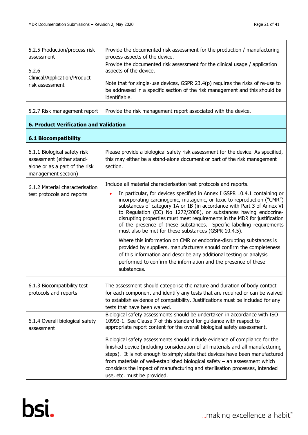| 5.2.5 Production/process risk<br>assessment                                                                        | Provide the documented risk assessment for the production / manufacturing<br>process aspects of the device.                                                                                                                                                                                                                                                                                                                                                                                                                                                                                                                                                                                                                                                                                                                                                                                  |
|--------------------------------------------------------------------------------------------------------------------|----------------------------------------------------------------------------------------------------------------------------------------------------------------------------------------------------------------------------------------------------------------------------------------------------------------------------------------------------------------------------------------------------------------------------------------------------------------------------------------------------------------------------------------------------------------------------------------------------------------------------------------------------------------------------------------------------------------------------------------------------------------------------------------------------------------------------------------------------------------------------------------------|
| 5.2.6<br>Clinical/Application/Product<br>risk assessment                                                           | Provide the documented risk assessment for the clinical usage / application<br>aspects of the device.                                                                                                                                                                                                                                                                                                                                                                                                                                                                                                                                                                                                                                                                                                                                                                                        |
|                                                                                                                    | Note that for single-use devices, GSPR $23.4(p)$ requires the risks of re-use to<br>be addressed in a specific section of the risk management and this should be<br>identifiable.                                                                                                                                                                                                                                                                                                                                                                                                                                                                                                                                                                                                                                                                                                            |
| 5.2.7 Risk management report                                                                                       | Provide the risk management report associated with the device.                                                                                                                                                                                                                                                                                                                                                                                                                                                                                                                                                                                                                                                                                                                                                                                                                               |
| <b>6. Product Verification and Validation</b>                                                                      |                                                                                                                                                                                                                                                                                                                                                                                                                                                                                                                                                                                                                                                                                                                                                                                                                                                                                              |
| <b>6.1 Biocompatibility</b>                                                                                        |                                                                                                                                                                                                                                                                                                                                                                                                                                                                                                                                                                                                                                                                                                                                                                                                                                                                                              |
| 6.1.1 Biological safety risk<br>assessment (either stand-<br>alone or as a part of the risk<br>management section) | Please provide a biological safety risk assessment for the device. As specified,<br>this may either be a stand-alone document or part of the risk management<br>section.                                                                                                                                                                                                                                                                                                                                                                                                                                                                                                                                                                                                                                                                                                                     |
| 6.1.2 Material characterisation<br>test protocols and reports                                                      | Include all material characterisation test protocols and reports.<br>In particular, for devices specified in Annex I GSPR 10.4.1 containing or<br>incorporating carcinogenic, mutagenic, or toxic to reproduction ("CMR")<br>substances of category 1A or 1B (in accordance with Part 3 of Annex VI<br>to Regulation (EC) No 1272/2008), or substances having endocrine-<br>disrupting properties must meet requirements in the MDR for justification<br>of the presence of these substances. Specific labelling requirements<br>must also be met for these substances (GSPR 10.4.5).<br>Where this information on CMR or endocrine-disrupting substances is<br>provided by suppliers, manufacturers should confirm the completeness<br>of this information and describe any additional testing or analysis<br>performed to confirm the information and the presence of these<br>substances. |
| 6.1.3 Biocompatibility test<br>protocols and reports                                                               | The assessment should categorise the nature and duration of body contact<br>for each component and identify any tests that are required or can be waived<br>to establish evidence of compatibility. Justifications must be included for any<br>tests that have been waived.                                                                                                                                                                                                                                                                                                                                                                                                                                                                                                                                                                                                                  |
| 6.1.4 Overall biological safety<br>assessment                                                                      | Biological safety assessments should be undertaken in accordance with ISO<br>10993-1. See Clause 7 of this standard for guidance with respect to<br>appropriate report content for the overall biological safety assessment.<br>Biological safety assessments should include evidence of compliance for the<br>finished device (including consideration of all materials and all manufacturing<br>steps). It is not enough to simply state that devices have been manufactured<br>from materials of well-established biological safety $-$ an assessment which<br>considers the impact of manufacturing and sterilisation processes, intended                                                                                                                                                                                                                                                |

use, etc. must be provided.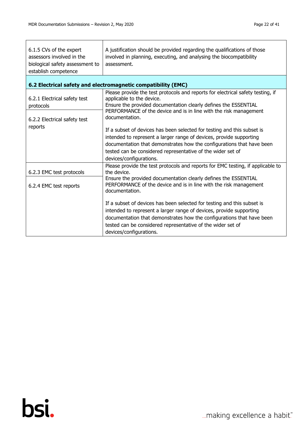| 6.1.5 CVs of the expert<br>assessors involved in the<br>biological safety assessment to<br>establish competence | A justification should be provided regarding the qualifications of those<br>involved in planning, executing, and analysing the biocompatibility<br>assessment.                                                                                                                                                    |
|-----------------------------------------------------------------------------------------------------------------|-------------------------------------------------------------------------------------------------------------------------------------------------------------------------------------------------------------------------------------------------------------------------------------------------------------------|
|                                                                                                                 | 6.2 Electrical safety and electromagnetic compatibility (EMC)                                                                                                                                                                                                                                                     |
| 6.2.1 Electrical safety test<br>protocols<br>6.2.2 Electrical safety test                                       | Please provide the test protocols and reports for electrical safety testing, if<br>applicable to the device.<br>Ensure the provided documentation clearly defines the ESSENTIAL<br>PERFORMANCE of the device and is in line with the risk management<br>documentation.                                            |
| reports                                                                                                         | If a subset of devices has been selected for testing and this subset is<br>intended to represent a larger range of devices, provide supporting<br>documentation that demonstrates how the configurations that have been<br>tested can be considered representative of the wider set of<br>devices/configurations. |
| 6.2.3 EMC test protocols                                                                                        | Please provide the test protocols and reports for EMC testing, if applicable to<br>the device.                                                                                                                                                                                                                    |
| 6.2.4 EMC test reports                                                                                          | Ensure the provided documentation clearly defines the ESSENTIAL<br>PERFORMANCE of the device and is in line with the risk management<br>documentation.                                                                                                                                                            |
|                                                                                                                 | If a subset of devices has been selected for testing and this subset is<br>intended to represent a larger range of devices, provide supporting<br>documentation that demonstrates how the configurations that have been<br>tested can be considered representative of the wider set of<br>devices/configurations. |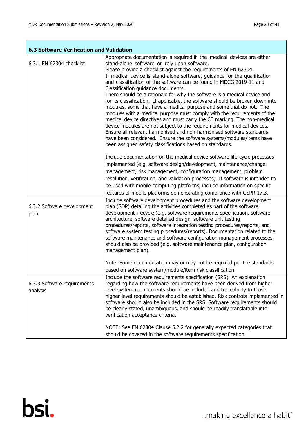ī

|                                         | <b>6.3 Software Verification and Validation</b>                                                                                                                                                                                                                                                                                                                                                                                                                                                                                                                                                                                                                                                                                                                                                                                                                                                                                                                                                                                                                         |  |  |
|-----------------------------------------|-------------------------------------------------------------------------------------------------------------------------------------------------------------------------------------------------------------------------------------------------------------------------------------------------------------------------------------------------------------------------------------------------------------------------------------------------------------------------------------------------------------------------------------------------------------------------------------------------------------------------------------------------------------------------------------------------------------------------------------------------------------------------------------------------------------------------------------------------------------------------------------------------------------------------------------------------------------------------------------------------------------------------------------------------------------------------|--|--|
| 6.3.1 EN 62304 checklist                | Appropriate documentation is required if the medical devices are either<br>stand-alone software or rely upon software.<br>Please provide a checklist against the requirements of EN 62304.<br>If medical device is stand-alone software, guidance for the qualification<br>and classification of the software can be found in MDCG 2019-11 and<br>Classification guidance documents.<br>There should be a rationale for why the software is a medical device and<br>for its classification. If applicable, the software should be broken down into<br>modules, some that have a medical purpose and some that do not. The<br>modules with a medical purpose must comply with the requirements of the<br>medical device directives and must carry the CE marking. The non-medical<br>device modules are not subject to the requirements for medical devices.<br>Ensure all relevant harmonised and non-harmonised software standards<br>have been considered. Ensure the software systems/modules/items have<br>been assigned safety classifications based on standards. |  |  |
|                                         | Include documentation on the medical device software life-cycle processes<br>implemented (e.g. software design/development, maintenance/change<br>management, risk management, configuration management, problem<br>resolution, verification, and validation processes). If software is intended to<br>be used with mobile computing platforms, include information on specific<br>features of mobile platforms demonstrating compliance with GSPR 17.3.                                                                                                                                                                                                                                                                                                                                                                                                                                                                                                                                                                                                                |  |  |
| 6.3.2 Software development<br>plan      | Include software development procedures and the software development<br>plan (SDP) detailing the activities completed as part of the software<br>development lifecycle (e.g. software requirements specification, software<br>architecture, software detailed design, software unit testing<br>procedures/reports, software integration testing procedures/reports, and<br>software system testing procedures/reports). Documentation related to the<br>software maintenance and software configuration management processes<br>should also be provided (e.g. software maintenance plan, configuration<br>management plan).<br>Note: Some documentation may or may not be required per the standards                                                                                                                                                                                                                                                                                                                                                                    |  |  |
|                                         | based on software system/module/item risk classification.                                                                                                                                                                                                                                                                                                                                                                                                                                                                                                                                                                                                                                                                                                                                                                                                                                                                                                                                                                                                               |  |  |
| 6.3.3 Software requirements<br>analysis | Include the software requirements specification (SRS). An explanation<br>regarding how the software requirements have been derived from higher<br>level system requirements should be included and traceability to those<br>higher-level requirements should be established. Risk controls implemented in<br>software should also be included in the SRS. Software requirements should<br>be clearly stated, unambiguous, and should be readily translatable into<br>verification acceptance criteria.                                                                                                                                                                                                                                                                                                                                                                                                                                                                                                                                                                  |  |  |
|                                         | NOTE: See EN 62304 Clause 5.2.2 for generally expected categories that<br>should be covered in the software requirements specification.                                                                                                                                                                                                                                                                                                                                                                                                                                                                                                                                                                                                                                                                                                                                                                                                                                                                                                                                 |  |  |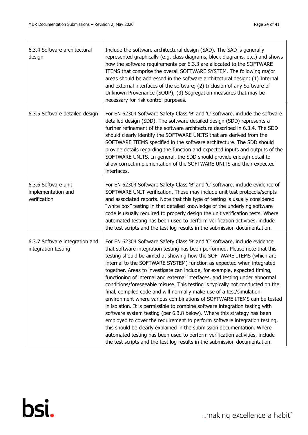$\overline{\mathsf{T}}$ 

 $\overline{1}$ 

٦

| 6.3.4 Software architectural<br>design                    | Include the software architectural design (SAD). The SAD is generally<br>represented graphically (e.g. class diagrams, block diagrams, etc.) and shows<br>how the software requirements per 6.3.3 are allocated to the SOFTWARE<br>ITEMS that comprise the overall SOFTWARE SYSTEM. The following major<br>areas should be addressed in the software architectural design: (1) Internal<br>and external interfaces of the software; (2) Inclusion of any Software of<br>Unknown Provenance (SOUP); (3) Segregation measures that may be<br>necessary for risk control purposes.                                                                                                                                                                                                                                                                                                                                                                                                                                                                                                                                                                                                           |
|-----------------------------------------------------------|-------------------------------------------------------------------------------------------------------------------------------------------------------------------------------------------------------------------------------------------------------------------------------------------------------------------------------------------------------------------------------------------------------------------------------------------------------------------------------------------------------------------------------------------------------------------------------------------------------------------------------------------------------------------------------------------------------------------------------------------------------------------------------------------------------------------------------------------------------------------------------------------------------------------------------------------------------------------------------------------------------------------------------------------------------------------------------------------------------------------------------------------------------------------------------------------|
| 6.3.5 Software detailed design                            | For EN 62304 Software Safety Class 'B' and 'C' software, include the software<br>detailed design (SDD). The software detailed design (SDD) represents a<br>further refinement of the software architecture described in 6.3.4. The SDD<br>should clearly identify the SOFTWARE UNITS that are derived from the<br>SOFTWARE ITEMS specified in the software architecture. The SDD should<br>provide details regarding the function and expected inputs and outputs of the<br>SOFTWARE UNITS. In general, the SDD should provide enough detail to<br>allow correct implementation of the SOFTWARE UNITS and their expected<br>interfaces.                                                                                                                                                                                                                                                                                                                                                                                                                                                                                                                                                   |
| 6.3.6 Software unit<br>implementation and<br>verification | For EN 62304 Software Safety Class 'B' and 'C' software, include evidence of<br>SOFTWARE UNIT verification. These may include unit test protocols/scripts<br>and associated reports. Note that this type of testing is usually considered<br>"white box" testing in that detailed knowledge of the underlying software<br>code is usually required to properly design the unit verification tests. Where<br>automated testing has been used to perform verification activities, include<br>the test scripts and the test log results in the submission documentation.                                                                                                                                                                                                                                                                                                                                                                                                                                                                                                                                                                                                                     |
| 6.3.7 Software integration and<br>integration testing     | For EN 62304 Software Safety Class 'B' and 'C' software, include evidence<br>that software integration testing has been performed. Please note that this<br>testing should be aimed at showing how the SOFTWARE ITEMS (which are<br>internal to the SOFTWARE SYSTEM) function as expected when integrated<br>together. Areas to investigate can include, for example, expected timing,<br>functioning of internal and external interfaces, and testing under abnormal<br>conditions/foreseeable misuse. This testing is typically not conducted on the<br>final, compiled code and will normally make use of a test/simulation<br>environment where various combinations of SOFTWARE ITEMS can be tested<br>in isolation. It is permissible to combine software integration testing with<br>software system testing (per 6.3.8 below). Where this strategy has been<br>employed to cover the requirement to perform software integration testing,<br>this should be clearly explained in the submission documentation. Where<br>automated testing has been used to perform verification activities, include<br>the test scripts and the test log results in the submission documentation. |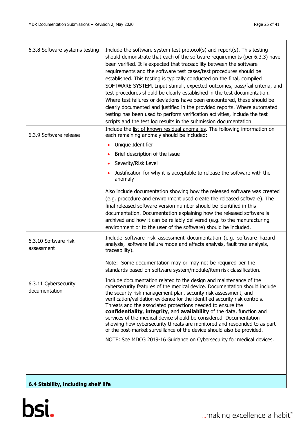| 6.3.8 Software systems testing        | Include the software system test protocol(s) and report(s). This testing<br>should demonstrate that each of the software requirements (per 6.3.3) have<br>been verified. It is expected that traceability between the software<br>requirements and the software test cases/test procedures should be<br>established. This testing is typically conducted on the final, compiled<br>SOFTWARE SYSTEM. Input stimuli, expected outcomes, pass/fail criteria, and<br>test procedures should be clearly established in the test documentation.<br>Where test failures or deviations have been encountered, these should be<br>clearly documented and justified in the provided reports. Where automated<br>testing has been used to perform verification activities, include the test |
|---------------------------------------|----------------------------------------------------------------------------------------------------------------------------------------------------------------------------------------------------------------------------------------------------------------------------------------------------------------------------------------------------------------------------------------------------------------------------------------------------------------------------------------------------------------------------------------------------------------------------------------------------------------------------------------------------------------------------------------------------------------------------------------------------------------------------------|
| 6.3.9 Software release                | scripts and the test log results in the submission documentation.<br>Include the list of known residual anomalies. The following information on<br>each remaining anomaly should be included:                                                                                                                                                                                                                                                                                                                                                                                                                                                                                                                                                                                    |
|                                       | Unique Identifier                                                                                                                                                                                                                                                                                                                                                                                                                                                                                                                                                                                                                                                                                                                                                                |
|                                       | Brief description of the issue                                                                                                                                                                                                                                                                                                                                                                                                                                                                                                                                                                                                                                                                                                                                                   |
|                                       | Severity/Risk Level                                                                                                                                                                                                                                                                                                                                                                                                                                                                                                                                                                                                                                                                                                                                                              |
|                                       | Justification for why it is acceptable to release the software with the<br>anomaly                                                                                                                                                                                                                                                                                                                                                                                                                                                                                                                                                                                                                                                                                               |
|                                       | Also include documentation showing how the released software was created<br>(e.g. procedure and environment used create the released software). The<br>final released software version number should be identified in this<br>documentation. Documentation explaining how the released software is<br>archived and how it can be reliably delivered (e.g. to the manufacturing<br>environment or to the user of the software) should be included.                                                                                                                                                                                                                                                                                                                                |
| 6.3.10 Software risk<br>assessment    | Include software risk assessment documentation (e.g. software hazard<br>analysis, software failure mode and effects analysis, fault tree analysis,<br>traceability).                                                                                                                                                                                                                                                                                                                                                                                                                                                                                                                                                                                                             |
|                                       | Note: Some documentation may or may not be required per the<br>standards based on software system/module/item risk classification.                                                                                                                                                                                                                                                                                                                                                                                                                                                                                                                                                                                                                                               |
| 6.3.11 Cybersecurity<br>documentation | Include documentation related to the design and maintenance of the<br>cybersecurity features of the medical device. Documentation should include<br>the security risk management plan, security risk assessment, and<br>verification/validation evidence for the identified security risk controls.<br>Threats and the associated protections needed to ensure the<br>confidentiality, integrity, and availability of the data, function and<br>services of the medical device should be considered. Documentation<br>showing how cybersecurity threats are monitored and responded to as part<br>of the post-market surveillance of the device should also be provided.<br>NOTE: See MDCG 2019-16 Guidance on Cybersecurity for medical devices.                                |
| 6.4 Stability, including shelf life   |                                                                                                                                                                                                                                                                                                                                                                                                                                                                                                                                                                                                                                                                                                                                                                                  |

# **6.4 Stability, including shelf life**

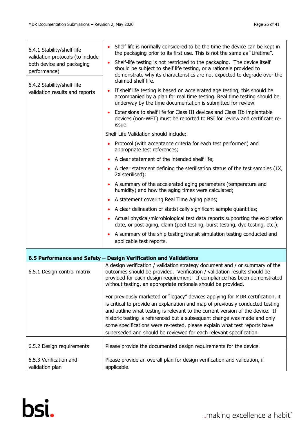| 6.4.1 Stability/shelf-life<br>validation protocols (to include<br>both device and packaging<br>performance)<br>6.4.2 Stability/shelf-life<br>validation results and reports | Shelf life is normally considered to be the time the device can be kept in<br>the packaging prior to its first use. This is not the same as "Lifetime".                                                                                                                                                                                                                                                                                                                         |
|-----------------------------------------------------------------------------------------------------------------------------------------------------------------------------|---------------------------------------------------------------------------------------------------------------------------------------------------------------------------------------------------------------------------------------------------------------------------------------------------------------------------------------------------------------------------------------------------------------------------------------------------------------------------------|
|                                                                                                                                                                             | Shelf-life testing is not restricted to the packaging. The device itself<br>should be subject to shelf life testing, or a rationale provided to<br>demonstrate why its characteristics are not expected to degrade over the<br>claimed shelf life.                                                                                                                                                                                                                              |
|                                                                                                                                                                             | If shelf life testing is based on accelerated age testing, this should be<br>accompanied by a plan for real time testing. Real time testing should be<br>underway by the time documentation is submitted for review.                                                                                                                                                                                                                                                            |
|                                                                                                                                                                             | Extensions to shelf life for Class III devices and Class IIb implantable<br>devices (non-WET) must be reported to BSI for review and certificate re-<br>issue.                                                                                                                                                                                                                                                                                                                  |
|                                                                                                                                                                             | Shelf Life Validation should include:                                                                                                                                                                                                                                                                                                                                                                                                                                           |
|                                                                                                                                                                             | Protocol (with acceptance criteria for each test performed) and<br>appropriate test references;                                                                                                                                                                                                                                                                                                                                                                                 |
|                                                                                                                                                                             | A clear statement of the intended shelf life;                                                                                                                                                                                                                                                                                                                                                                                                                                   |
|                                                                                                                                                                             | A clear statement defining the sterilisation status of the test samples (1X,<br>2X sterilised);                                                                                                                                                                                                                                                                                                                                                                                 |
|                                                                                                                                                                             | A summary of the accelerated aging parameters (temperature and<br>humidity) and how the aging times were calculated;                                                                                                                                                                                                                                                                                                                                                            |
|                                                                                                                                                                             | A statement covering Real Time Aging plans;                                                                                                                                                                                                                                                                                                                                                                                                                                     |
|                                                                                                                                                                             | A clear delineation of statistically significant sample quantities;                                                                                                                                                                                                                                                                                                                                                                                                             |
|                                                                                                                                                                             | Actual physical/microbiological test data reports supporting the expiration<br>date, or post aging, claim (peel testing, burst testing, dye testing, etc.);                                                                                                                                                                                                                                                                                                                     |
|                                                                                                                                                                             | A summary of the ship testing/transit simulation testing conducted and<br>applicable test reports.                                                                                                                                                                                                                                                                                                                                                                              |
|                                                                                                                                                                             | 6.5 Performance and Safety - Design Verification and Validations                                                                                                                                                                                                                                                                                                                                                                                                                |
| 6.5.1 Design control matrix                                                                                                                                                 | A design verification / validation strategy document and / or summary of the<br>outcomes should be provided. Verification / validation results should be<br>provided for each design requirement. If compliance has been demonstrated<br>without testing, an appropriate rationale should be provided.                                                                                                                                                                          |
|                                                                                                                                                                             | For previously marketed or "legacy" devices applying for MDR certification, it<br>is critical to provide an explanation and map of previously conducted testing<br>and outline what testing is relevant to the current version of the device. If<br>historic testing is referenced but a subsequent change was made and only<br>some specifications were re-tested, please explain what test reports have<br>superseded and should be reviewed for each relevant specification. |
| 6.5.2 Design requirements                                                                                                                                                   | Please provide the documented design requirements for the device.                                                                                                                                                                                                                                                                                                                                                                                                               |
| 6.5.3 Verification and<br>validation plan                                                                                                                                   | Please provide an overall plan for design verification and validation, if<br>applicable.                                                                                                                                                                                                                                                                                                                                                                                        |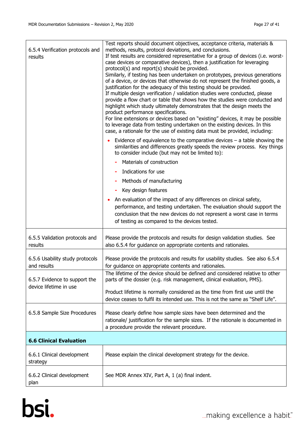| 6.5.4 Verification protocols and<br>results             | Test reports should document objectives, acceptance criteria, materials &<br>methods, results, protocol deviations, and conclusions.<br>If test results are considered representative for a group of devices (i.e. worst-<br>case devices or comparative devices), then a justification for leveraging<br>protocol(s) and report(s) should be provided.<br>Similarly, if testing has been undertaken on prototypes, previous generations<br>of a device, or devices that otherwise do not represent the finished goods, a<br>justification for the adequacy of this testing should be provided.<br>If multiple design verification / validation studies were conducted, please<br>provide a flow chart or table that shows how the studies were conducted and<br>highlight which study ultimately demonstrates that the design meets the<br>product performance specifications.<br>For line extensions or devices based on "existing" devices, it may be possible<br>to leverage data from testing undertaken on the existing devices. In this<br>case, a rationale for the use of existing data must be provided, including:<br>Evidence of equivalence to the comparative devices $-$ a table showing the<br>similarities and differences greatly speeds the review process. Key things<br>to consider include (but may not be limited to):<br>Materials of construction<br>Indications for use<br>Methods of manufacturing |
|---------------------------------------------------------|-------------------------------------------------------------------------------------------------------------------------------------------------------------------------------------------------------------------------------------------------------------------------------------------------------------------------------------------------------------------------------------------------------------------------------------------------------------------------------------------------------------------------------------------------------------------------------------------------------------------------------------------------------------------------------------------------------------------------------------------------------------------------------------------------------------------------------------------------------------------------------------------------------------------------------------------------------------------------------------------------------------------------------------------------------------------------------------------------------------------------------------------------------------------------------------------------------------------------------------------------------------------------------------------------------------------------------------------------------------------------------------------------------------------------------|
|                                                         | Key design features<br>An evaluation of the impact of any differences on clinical safety,<br>performance, and testing undertaken. The evaluation should support the<br>conclusion that the new devices do not represent a worst case in terms<br>of testing as compared to the devices tested.                                                                                                                                                                                                                                                                                                                                                                                                                                                                                                                                                                                                                                                                                                                                                                                                                                                                                                                                                                                                                                                                                                                                |
| 6.5.5 Validation protocols and<br>results               | Please provide the protocols and results for design validation studies. See<br>also 6.5.4 for guidance on appropriate contents and rationales.                                                                                                                                                                                                                                                                                                                                                                                                                                                                                                                                                                                                                                                                                                                                                                                                                                                                                                                                                                                                                                                                                                                                                                                                                                                                                |
| 6.5.6 Usability study protocols<br>and results          | Please provide the protocols and results for usability studies. See also 6.5.4<br>for guidance on appropriate contents and rationales.                                                                                                                                                                                                                                                                                                                                                                                                                                                                                                                                                                                                                                                                                                                                                                                                                                                                                                                                                                                                                                                                                                                                                                                                                                                                                        |
| 6.5.7 Evidence to support the<br>device lifetime in use | The lifetime of the device should be defined and considered relative to other<br>parts of the dossier (e.g. risk management, clinical evaluation, PMS).<br>Product lifetime is normally considered as the time from first use until the                                                                                                                                                                                                                                                                                                                                                                                                                                                                                                                                                                                                                                                                                                                                                                                                                                                                                                                                                                                                                                                                                                                                                                                       |
| 6.5.8 Sample Size Procedures                            | device ceases to fulfil its intended use. This is not the same as "Shelf Life".<br>Please clearly define how sample sizes have been determined and the<br>rationale/ justification for the sample sizes. If the rationale is documented in<br>a procedure provide the relevant procedure.                                                                                                                                                                                                                                                                                                                                                                                                                                                                                                                                                                                                                                                                                                                                                                                                                                                                                                                                                                                                                                                                                                                                     |
| <b>6.6 Clinical Evaluation</b>                          |                                                                                                                                                                                                                                                                                                                                                                                                                                                                                                                                                                                                                                                                                                                                                                                                                                                                                                                                                                                                                                                                                                                                                                                                                                                                                                                                                                                                                               |
| 6.6.1 Clinical development<br>strategy                  | Please explain the clinical development strategy for the device.                                                                                                                                                                                                                                                                                                                                                                                                                                                                                                                                                                                                                                                                                                                                                                                                                                                                                                                                                                                                                                                                                                                                                                                                                                                                                                                                                              |
| 6.6.2 Clinical development<br>plan                      | See MDR Annex XIV, Part A, 1 (a) final indent.                                                                                                                                                                                                                                                                                                                                                                                                                                                                                                                                                                                                                                                                                                                                                                                                                                                                                                                                                                                                                                                                                                                                                                                                                                                                                                                                                                                |

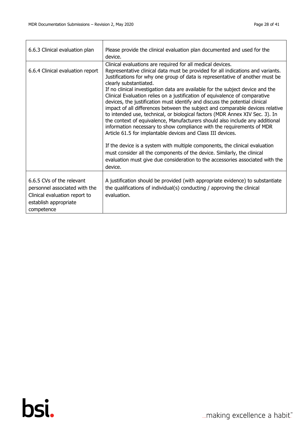$\Gamma$ 

| 6.6.3 Clinical evaluation plan                                                                                                     | Please provide the clinical evaluation plan documented and used for the<br>device.                                                                                                                                                                                                                                                                                                                                                                                                                                                                                                                                                                                                                                                                                                                                                                                                                                                                                                                                                                                                                                                           |
|------------------------------------------------------------------------------------------------------------------------------------|----------------------------------------------------------------------------------------------------------------------------------------------------------------------------------------------------------------------------------------------------------------------------------------------------------------------------------------------------------------------------------------------------------------------------------------------------------------------------------------------------------------------------------------------------------------------------------------------------------------------------------------------------------------------------------------------------------------------------------------------------------------------------------------------------------------------------------------------------------------------------------------------------------------------------------------------------------------------------------------------------------------------------------------------------------------------------------------------------------------------------------------------|
| 6.6.4 Clinical evaluation report                                                                                                   | Clinical evaluations are required for all medical devices.<br>Representative clinical data must be provided for all indications and variants.<br>Justifications for why one group of data is representative of another must be<br>clearly substantiated.<br>If no clinical investigation data are available for the subject device and the<br>Clinical Evaluation relies on a justification of equivalence of comparative<br>devices, the justification must identify and discuss the potential clinical<br>impact of all differences between the subject and comparable devices relative<br>to intended use, technical, or biological factors (MDR Annex XIV Sec. 3). In<br>the context of equivalence, Manufacturers should also include any additional<br>information necessary to show compliance with the requirements of MDR<br>Article 61.5 for implantable devices and Class III devices.<br>If the device is a system with multiple components, the clinical evaluation<br>must consider all the components of the device. Similarly, the clinical<br>evaluation must give due consideration to the accessories associated with the |
|                                                                                                                                    | device.                                                                                                                                                                                                                                                                                                                                                                                                                                                                                                                                                                                                                                                                                                                                                                                                                                                                                                                                                                                                                                                                                                                                      |
| 6.6.5 CVs of the relevant<br>personnel associated with the<br>Clinical evaluation report to<br>establish appropriate<br>competence | A justification should be provided (with appropriate evidence) to substantiate<br>the qualifications of individual(s) conducting / approving the clinical<br>evaluation.                                                                                                                                                                                                                                                                                                                                                                                                                                                                                                                                                                                                                                                                                                                                                                                                                                                                                                                                                                     |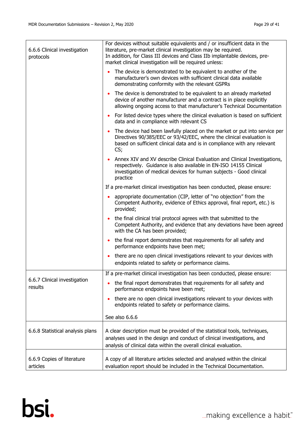r

| 6.6.6 Clinical investigation<br>protocols | For devices without suitable equivalents and / or insufficient data in the<br>literature, pre-market clinical investigation may be required.<br>In addition, for Class III devices and Class IIb implantable devices, pre-<br>market clinical investigation will be required unless: |
|-------------------------------------------|--------------------------------------------------------------------------------------------------------------------------------------------------------------------------------------------------------------------------------------------------------------------------------------|
|                                           | The device is demonstrated to be equivalent to another of the<br>$\bullet$<br>manufacturer's own devices with sufficient clinical data available<br>demonstrating conformity with the relevant GSPRs                                                                                 |
|                                           | The device is demonstrated to be equivalent to an already marketed<br>$\bullet$<br>device of another manufacturer and a contract is in place explicitly<br>allowing ongoing access to that manufacturer's Technical Documentation                                                    |
|                                           | For listed device types where the clinical evaluation is based on sufficient<br>$\bullet$<br>data and in compliance with relevant CS                                                                                                                                                 |
|                                           | The device had been lawfully placed on the market or put into service per<br>$\bullet$<br>Directives 90/385/EEC or 93/42/EEC, where the clinical evaluation is<br>based on sufficient clinical data and is in compliance with any relevant<br>CS;                                    |
|                                           | Annex XIV and XV describe Clinical Evaluation and Clinical Investigations,<br>respectively. Guidance is also available in EN-ISO 14155 Clinical<br>investigation of medical devices for human subjects - Good clinical<br>practice                                                   |
|                                           | If a pre-market clinical investigation has been conducted, please ensure:                                                                                                                                                                                                            |
|                                           | appropriate documentation (CIP, letter of "no objection" from the<br>Competent Authority, evidence of Ethics approval, final report, etc.) is<br>provided;                                                                                                                           |
|                                           | the final clinical trial protocol agrees with that submitted to the<br>$\bullet$<br>Competent Authority, and evidence that any deviations have been agreed<br>with the CA has been provided;                                                                                         |
|                                           | the final report demonstrates that requirements for all safety and<br>$\bullet$<br>performance endpoints have been met;                                                                                                                                                              |
|                                           | there are no open clinical investigations relevant to your devices with<br>$\bullet$<br>endpoints related to safety or performance claims.                                                                                                                                           |
| 6.6.7 Clinical investigation<br>results   | If a pre-market clinical investigation has been conducted, please ensure:                                                                                                                                                                                                            |
|                                           | the final report demonstrates that requirements for all safety and<br>ò<br>performance endpoints have been met;                                                                                                                                                                      |
|                                           | there are no open clinical investigations relevant to your devices with<br>$\bullet$<br>endpoints related to safety or performance claims.                                                                                                                                           |
|                                           | See also 6.6.6                                                                                                                                                                                                                                                                       |
| 6.6.8 Statistical analysis plans          | A clear description must be provided of the statistical tools, techniques,<br>analyses used in the design and conduct of clinical investigations, and<br>analysis of clinical data within the overall clinical evaluation.                                                           |
| 6.6.9 Copies of literature<br>articles    | A copy of all literature articles selected and analysed within the clinical<br>evaluation report should be included in the Technical Documentation.                                                                                                                                  |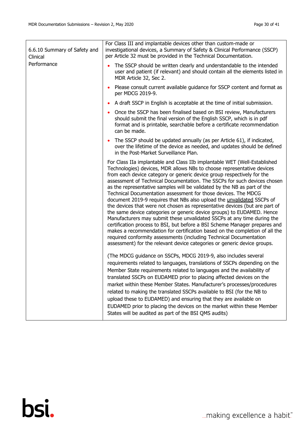$\mathbf{r}$ 

| 6.6.10 Summary of Safety and<br>Clinical | For Class III and implantable devices other than custom-made or<br>investigational devices, a Summary of Safety & Clinical Performance (SSCP)<br>per Article 32 must be provided in the Technical Documentation.                                                                                                                                                                                                                                                                                                                                                                                                                                                                                                                                                                                                                                                                                                                                                                                                                                                                            |
|------------------------------------------|---------------------------------------------------------------------------------------------------------------------------------------------------------------------------------------------------------------------------------------------------------------------------------------------------------------------------------------------------------------------------------------------------------------------------------------------------------------------------------------------------------------------------------------------------------------------------------------------------------------------------------------------------------------------------------------------------------------------------------------------------------------------------------------------------------------------------------------------------------------------------------------------------------------------------------------------------------------------------------------------------------------------------------------------------------------------------------------------|
| Performance                              | The SSCP should be written clearly and understandable to the intended<br>user and patient (if relevant) and should contain all the elements listed in<br>MDR Article 32, Sec 2.                                                                                                                                                                                                                                                                                                                                                                                                                                                                                                                                                                                                                                                                                                                                                                                                                                                                                                             |
|                                          | Please consult current available guidance for SSCP content and format as<br>per MDCG 2019-9.                                                                                                                                                                                                                                                                                                                                                                                                                                                                                                                                                                                                                                                                                                                                                                                                                                                                                                                                                                                                |
|                                          | A draft SSCP in English is acceptable at the time of initial submission.                                                                                                                                                                                                                                                                                                                                                                                                                                                                                                                                                                                                                                                                                                                                                                                                                                                                                                                                                                                                                    |
|                                          | Once the SSCP has been finalised based on BSI review, Manufacturers<br>should submit the final version of the English SSCP, which is in pdf<br>format and is printable, searchable before a certificate recommendation<br>can be made.                                                                                                                                                                                                                                                                                                                                                                                                                                                                                                                                                                                                                                                                                                                                                                                                                                                      |
|                                          | The SSCP should be updated annually (as per Article 61), if indicated,<br>over the lifetime of the device as needed, and updates should be defined<br>in the Post-Market Surveillance Plan.                                                                                                                                                                                                                                                                                                                                                                                                                                                                                                                                                                                                                                                                                                                                                                                                                                                                                                 |
|                                          | For Class IIa implantable and Class IIb implantable WET (Well-Established<br>Technologies) devices, MDR allows NBs to choose representative devices<br>from each device category or generic device group respectively for the<br>assessment of Technical Documentation. The SSCPs for such devices chosen<br>as the representative samples will be validated by the NB as part of the<br>Technical Documentation assessment for those devices. The MDCG<br>document 2019-9 requires that NBs also upload the <i>unvalidated</i> SSCPs of<br>the devices that were not chosen as representative devices (but are part of<br>the same device categories or generic device groups) to EUDAMED. Hence<br>Manufacturers may submit these unvalidated SSCPs at any time during the<br>certification process to BSI, but before a BSI Scheme Manager prepares and<br>makes a recommendation for certification based on the completion of all the<br>required conformity assessments (including Technical Documentation<br>assessment) for the relevant device categories or generic device groups. |
|                                          | (The MDCG guidance on SSCPs, MDCG 2019-9, also includes several<br>requirements related to languages, translations of SSCPs depending on the<br>Member State requirements related to languages and the availability of<br>translated SSCPs on EUDAMED prior to placing affected devices on the<br>market within these Member States. Manufacturer's processes/procedures<br>related to making the translated SSCPs available to BSI (for the NB to<br>upload these to EUDAMED) and ensuring that they are available on<br>EUDAMED prior to placing the devices on the market within these Member<br>States will be audited as part of the BSI QMS audits)                                                                                                                                                                                                                                                                                                                                                                                                                                   |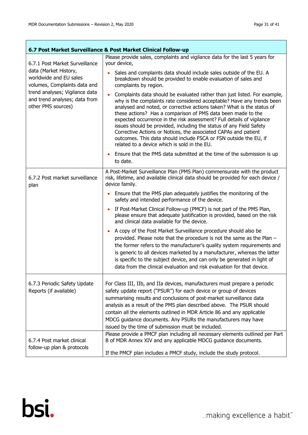$\overline{\phantom{a}}$ 

| 6.7 Post Market Surveillance & Post Market Clinical Follow-up                                                                                                                                              |                                                                                                                                                                                                                                                                                                                                                                                                                                                                                                                                                                                                                                                                                                                                                                                                                                                                                                                                                                                               |
|------------------------------------------------------------------------------------------------------------------------------------------------------------------------------------------------------------|-----------------------------------------------------------------------------------------------------------------------------------------------------------------------------------------------------------------------------------------------------------------------------------------------------------------------------------------------------------------------------------------------------------------------------------------------------------------------------------------------------------------------------------------------------------------------------------------------------------------------------------------------------------------------------------------------------------------------------------------------------------------------------------------------------------------------------------------------------------------------------------------------------------------------------------------------------------------------------------------------|
| 6.7.1 Post Market Surveillance<br>data (Market History,<br>worldwide and EU sales<br>volumes, Complaints data and<br>trend analyses; Vigilance data<br>and trend analyses; data from<br>other PMS sources) | Please provide sales, complaints and vigilance data for the last 5 years for<br>your device,<br>Sales and complaints data should include sales outside of the EU. A<br>breakdown should be provided to enable evaluation of sales and<br>complaints by region.<br>Complaints data should be evaluated rather than just listed. For example,<br>why is the complaints rate considered acceptable? Have any trends been<br>analysed and noted, or corrective actions taken? What is the status of<br>these actions? Has a comparison of PMS data been made to the<br>expected occurrence in the risk assessment? Full details of vigilance<br>issues should be provided, including the status of any Field Safety<br>Corrective Actions or Notices, the associated CAPAs and patient<br>outcomes. This data should include FSCA or FSN outside the EU, if<br>related to a device which is sold in the EU.<br>Ensure that the PMS data submitted at the time of the submission is up<br>to date. |
|                                                                                                                                                                                                            | A Post-Market Surveillance Plan (PMS Plan) commensurate with the product                                                                                                                                                                                                                                                                                                                                                                                                                                                                                                                                                                                                                                                                                                                                                                                                                                                                                                                      |
| 6.7.2 Post market surveillance<br>plan                                                                                                                                                                     | risk, lifetime, and available clinical data should be provided for each device /<br>device family.                                                                                                                                                                                                                                                                                                                                                                                                                                                                                                                                                                                                                                                                                                                                                                                                                                                                                            |
|                                                                                                                                                                                                            | Ensure that the PMS plan adequately justifies the monitoring of the<br>safety and intended performance of the device.                                                                                                                                                                                                                                                                                                                                                                                                                                                                                                                                                                                                                                                                                                                                                                                                                                                                         |
|                                                                                                                                                                                                            | If Post-Market Clinical Follow-up (PMCF) is not part of the PMS Plan,<br>please ensure that adequate justification is provided, based on the risk<br>and clinical data available for the device.                                                                                                                                                                                                                                                                                                                                                                                                                                                                                                                                                                                                                                                                                                                                                                                              |
|                                                                                                                                                                                                            | A copy of the Post Market Surveillance procedure should also be<br>provided. Please note that the procedure is not the same as the Plan -<br>the former refers to the manufacturer's quality system requirements and<br>is generic to all devices marketed by a manufacturer, whereas the latter<br>is specific to the subject device, and can only be generated in light of<br>data from the clinical evaluation and risk evaluation for that device.                                                                                                                                                                                                                                                                                                                                                                                                                                                                                                                                        |
| 6.7.3 Periodic Safety Update<br>Reports (if available)                                                                                                                                                     | For Class III, IIb, and IIa devices, manufacturers must prepare a periodic<br>safety update report ("PSUR") for each device or group of devices<br>summarising results and conclusions of post-market surveillance data<br>analysis as a result of the PMS plan described above. The PSUR should<br>contain all the elements outlined in MDR Article 86 and any applicable<br>MDCG guidance documents. Any PSURs the manufacturers may have<br>issued by the time of submission must be included.                                                                                                                                                                                                                                                                                                                                                                                                                                                                                             |
| 6.7.4 Post market clinical<br>follow-up plan & protocols                                                                                                                                                   | Please provide a PMCF plan including all necessary elements outlined per Part<br>B of MDR Annex XIV and any applicable MDCG guidance documents.<br>If the PMCF plan includes a PMCF study, include the study protocol.                                                                                                                                                                                                                                                                                                                                                                                                                                                                                                                                                                                                                                                                                                                                                                        |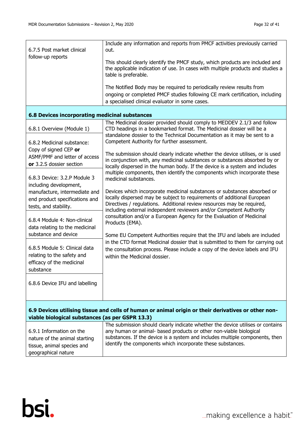| 6.7.5 Post market clinical<br>follow-up reports                                                                                                        | Include any information and reports from PMCF activities previously carried<br>out.<br>This should clearly identify the PMCF study, which products are included and<br>the applicable indication of use. In cases with multiple products and studies a<br>table is preferable.                       |
|--------------------------------------------------------------------------------------------------------------------------------------------------------|------------------------------------------------------------------------------------------------------------------------------------------------------------------------------------------------------------------------------------------------------------------------------------------------------|
|                                                                                                                                                        | The Notified Body may be required to periodically review results from<br>ongoing or completed PMCF studies following CE mark certification, including<br>a specialised clinical evaluator in some cases.                                                                                             |
| 6.8 Devices incorporating medicinal substances                                                                                                         |                                                                                                                                                                                                                                                                                                      |
| 6.8.1 Overview (Module 1)                                                                                                                              | The Medicinal dossier provided should comply to MEDDEV 2.1/3 and follow<br>CTD headings in a bookmarked format. The Medicinal dossier will be a                                                                                                                                                      |
| 6.8.2 Medicinal substance:                                                                                                                             | standalone dossier to the Technical Documentation as it may be sent to a<br>Competent Authority for further assessment.                                                                                                                                                                              |
| Copy of signed CEP or<br>ASMF/PMF and letter of access<br>or 3.2.S dossier section                                                                     | The submission should clearly indicate whether the device utilises, or is used<br>in conjunction with, any medicinal substances or substances absorbed by or<br>locally dispersed in the human body. If the device is a system and includes                                                          |
| 6.8.3 Device: 3.2.P Module 3<br>including development,                                                                                                 | multiple components, then identify the components which incorporate these<br>medicinal substances.                                                                                                                                                                                                   |
| manufacture, intermediate and<br>end product specifications and<br>tests, and stability.                                                               | Devices which incorporate medicinal substances or substances absorbed or<br>locally dispersed may be subject to requirements of additional European<br>Directives / regulations. Additional review resources may be required,<br>including external independent reviewers and/or Competent Authority |
| 6.8.4 Module 4: Non-clinical<br>data relating to the medicinal                                                                                         | consultation and/or a European Agency for the Evaluation of Medicinal<br>Products (EMA).                                                                                                                                                                                                             |
| substance and device<br>6.8.5 Module 5: Clinical data<br>relating to the safety and<br>efficacy of the medicinal<br>substance                          | Some EU Competent Authorities require that the IFU and labels are included<br>in the CTD format Medicinal dossier that is submitted to them for carrying out<br>the consultation process. Please include a copy of the device labels and IFU<br>within the Medicinal dossier.                        |
| 6.8.6 Device IFU and labelling                                                                                                                         |                                                                                                                                                                                                                                                                                                      |
| 6.9 Devices utilising tissue and cells of human or animal origin or their derivatives or other non-<br>viable biological substances (as per GSPR 13.3) |                                                                                                                                                                                                                                                                                                      |
| 6.9.1 Information on the<br>nature of the animal starting<br>tissue, animal species and                                                                | The submission should clearly indicate whether the device utilises or contains<br>any human or animal- based products or other non-viable biological<br>substances. If the device is a system and includes multiple components, then<br>identify the components which incorporate these substances.  |

geographical nature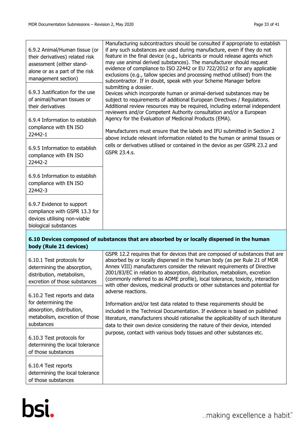| 6.9.2 Animal/Human tissue (or<br>their derivatives) related risk<br>assessment (either stand-<br>alone or as a part of the risk<br>management section) | Manufacturing subcontractors should be consulted if appropriate to establish<br>if any such substances are used during manufacture, even if they do not<br>feature in the final device (e.g., lubricants or mould release agents which<br>may use animal derived substances). The manufacturer should request<br>evidence of compliance to ISO 22442 or EU 722/2012 or for any applicable<br>exclusions (e.g., tallow species and processing method utilised) from the<br>subcontractor. If in doubt, speak with your Scheme Manager before<br>submitting a dossier.<br>Devices which incorporate human or animal-derived substances may be<br>subject to requirements of additional European Directives / Regulations.<br>Additional review resources may be required, including external independent |
|--------------------------------------------------------------------------------------------------------------------------------------------------------|--------------------------------------------------------------------------------------------------------------------------------------------------------------------------------------------------------------------------------------------------------------------------------------------------------------------------------------------------------------------------------------------------------------------------------------------------------------------------------------------------------------------------------------------------------------------------------------------------------------------------------------------------------------------------------------------------------------------------------------------------------------------------------------------------------|
| 6.9.3 Justification for the use<br>of animal/human tissues or<br>their derivatives                                                                     |                                                                                                                                                                                                                                                                                                                                                                                                                                                                                                                                                                                                                                                                                                                                                                                                        |
| 6.9.4 Information to establish<br>compliance with EN ISO<br>22442-1                                                                                    | reviewers and/or Competent Authority consultation and/or a European<br>Agency for the Evaluation of Medicinal Products (EMA).<br>Manufacturers must ensure that the labels and IFU submitted in Section 2<br>above include relevant information related to the human or animal tissues or                                                                                                                                                                                                                                                                                                                                                                                                                                                                                                              |
| 6.9.5 Information to establish<br>compliance with EN ISO<br>22442-2                                                                                    | cells or derivatives utilised or contained in the device as per GSPR 23.2 and<br><b>GSPR 23.4.s.</b>                                                                                                                                                                                                                                                                                                                                                                                                                                                                                                                                                                                                                                                                                                   |
| 6.9.6 Information to establish<br>compliance with EN ISO<br>22442-3                                                                                    |                                                                                                                                                                                                                                                                                                                                                                                                                                                                                                                                                                                                                                                                                                                                                                                                        |
| 6.9.7 Evidence to support<br>compliance with GSPR 13.3 for<br>devices utilising non-viable<br>biological substances                                    |                                                                                                                                                                                                                                                                                                                                                                                                                                                                                                                                                                                                                                                                                                                                                                                                        |

#### **6.10 Devices composed of substances that are absorbed by or locally dispersed in the human body (Rule 21 devices)**

| 6.10.1 Test protocols for<br>determining the absorption,<br>distribution, metabolism,<br>excretion of those substances | GSPR 12.2 requires that for devices that are composed of substances that are<br>absorbed by or locally dispersed in the human body (as per Rule 21 of MDR<br>Annex VIII) manufacturers consider the relevant requirements of Directive<br>2001/83/EC in relation to absorption, distribution, metabolism, excretion<br>(commonly referred to as ADME profile), local tolerance, toxicity, interaction<br>with other devices, medicinal products or other substances and potential for |
|------------------------------------------------------------------------------------------------------------------------|---------------------------------------------------------------------------------------------------------------------------------------------------------------------------------------------------------------------------------------------------------------------------------------------------------------------------------------------------------------------------------------------------------------------------------------------------------------------------------------|
| 6.10.2 Test reports and data                                                                                           | adverse reactions.                                                                                                                                                                                                                                                                                                                                                                                                                                                                    |
| for determining the                                                                                                    | Information and/or test data related to these requirements should be                                                                                                                                                                                                                                                                                                                                                                                                                  |
| absorption, distribution,<br>metabolism, excretion of those                                                            | included in the Technical Documentation. If evidence is based on published                                                                                                                                                                                                                                                                                                                                                                                                            |
| substances                                                                                                             | literature, manufacturers should rationalise the applicability of such literature<br>data to their own device considering the nature of their device, intended                                                                                                                                                                                                                                                                                                                        |
|                                                                                                                        | purpose, contact with various body tissues and other substances etc.                                                                                                                                                                                                                                                                                                                                                                                                                  |
| 6.10.3 Test protocols for                                                                                              |                                                                                                                                                                                                                                                                                                                                                                                                                                                                                       |
| determining the local tolerance                                                                                        |                                                                                                                                                                                                                                                                                                                                                                                                                                                                                       |
| of those substances                                                                                                    |                                                                                                                                                                                                                                                                                                                                                                                                                                                                                       |
|                                                                                                                        |                                                                                                                                                                                                                                                                                                                                                                                                                                                                                       |
| 6.10.4 Test reports                                                                                                    |                                                                                                                                                                                                                                                                                                                                                                                                                                                                                       |
| determining the local tolerance                                                                                        |                                                                                                                                                                                                                                                                                                                                                                                                                                                                                       |
| of those substances                                                                                                    |                                                                                                                                                                                                                                                                                                                                                                                                                                                                                       |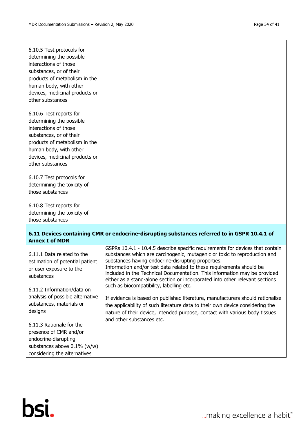| 6.10.5 Test protocols for<br>determining the possible<br>interactions of those<br>substances, or of their<br>products of metabolism in the<br>human body, with other<br>devices, medicinal products or<br>other substances |
|----------------------------------------------------------------------------------------------------------------------------------------------------------------------------------------------------------------------------|
| 6.10.6 Test reports for                                                                                                                                                                                                    |
| determining the possible<br>interactions of those                                                                                                                                                                          |
| substances, or of their                                                                                                                                                                                                    |
| products of metabolism in the                                                                                                                                                                                              |
| human body, with other                                                                                                                                                                                                     |
| devices, medicinal products or<br>other substances                                                                                                                                                                         |
|                                                                                                                                                                                                                            |
| 6.10.7 Test protocols for                                                                                                                                                                                                  |
| determining the toxicity of                                                                                                                                                                                                |
| those substances                                                                                                                                                                                                           |
| 6.10.8 Test reports for                                                                                                                                                                                                    |
| determining the toxicity of                                                                                                                                                                                                |
| those substances                                                                                                                                                                                                           |

# **6.11 Devices containing CMR or endocrine-disrupting substances referred to in GSPR 10.4.1 of Annex I of MDR**

| 6.11.1 Data related to the<br>estimation of potential patient<br>or user exposure to the<br>substances | GSPRs 10.4.1 - 10.4.5 describe specific requirements for devices that contain<br>substances which are carcinogenic, mutagenic or toxic to reproduction and<br>substances having endocrine-disrupting properties.<br>Information and/or test data related to these requirements should be<br>included in the Technical Documentation. This information may be provided |
|--------------------------------------------------------------------------------------------------------|-----------------------------------------------------------------------------------------------------------------------------------------------------------------------------------------------------------------------------------------------------------------------------------------------------------------------------------------------------------------------|
| 6.11.2 Information/data on                                                                             | either as a stand-alone section or incorporated into other relevant sections<br>such as biocompatibility, labelling etc.                                                                                                                                                                                                                                              |
| analysis of possible alternative<br>substances, materials or                                           | If evidence is based on published literature, manufacturers should rationalise                                                                                                                                                                                                                                                                                        |
| designs                                                                                                | the applicability of such literature data to their own device considering the<br>nature of their device, intended purpose, contact with various body tissues                                                                                                                                                                                                          |
| 6.11.3 Rationale for the                                                                               | and other substances etc.                                                                                                                                                                                                                                                                                                                                             |
| presence of CMR and/or                                                                                 |                                                                                                                                                                                                                                                                                                                                                                       |
| endocrine-disrupting                                                                                   |                                                                                                                                                                                                                                                                                                                                                                       |
| substances above $0.1\%$ (w/w)                                                                         |                                                                                                                                                                                                                                                                                                                                                                       |
| considering the alternatives                                                                           |                                                                                                                                                                                                                                                                                                                                                                       |

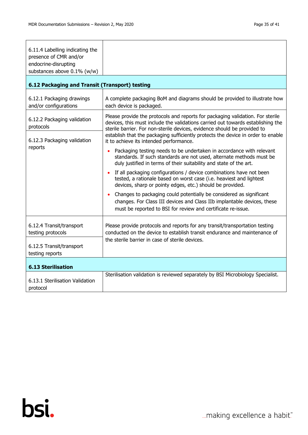| 6.11.4 Labelling indicating the<br>presence of CMR and/or<br>endocrine-disrupting<br>substances above 0.1% (w/w) |                                                                                                                                                                                                                                               |
|------------------------------------------------------------------------------------------------------------------|-----------------------------------------------------------------------------------------------------------------------------------------------------------------------------------------------------------------------------------------------|
| 6.12 Packaging and Transit (Transport) testing                                                                   |                                                                                                                                                                                                                                               |
| 6.12.1 Packaging drawings<br>and/or configurations                                                               | A complete packaging BoM and diagrams should be provided to illustrate how<br>each device is packaged.                                                                                                                                        |
| 6.12.2 Packaging validation<br>protocols                                                                         | Please provide the protocols and reports for packaging validation. For sterile<br>devices, this must include the validations carried out towards establishing the<br>sterile barrier. For non-sterile devices, evidence should be provided to |
| 6.12.3 Packaging validation                                                                                      | establish that the packaging sufficiently protects the device in order to enable<br>it to achieve its intended performance.                                                                                                                   |
| reports                                                                                                          | Packaging testing needs to be undertaken in accordance with relevant<br>standards. If such standards are not used, alternate methods must be<br>duly justified in terms of their suitability and state of the art.                            |
|                                                                                                                  | If all packaging configurations / device combinations have not been<br>tested, a rationale based on worst case (i.e. heaviest and lightest<br>devices, sharp or pointy edges, etc.) should be provided.                                       |
|                                                                                                                  | Changes to packaging could potentially be considered as significant<br>changes. For Class III devices and Class IIb implantable devices, these<br>must be reported to BSI for review and certificate re-issue.                                |
| 6.12.4 Transit/transport<br>testing protocols                                                                    | Please provide protocols and reports for any transit/transportation testing<br>conducted on the device to establish transit endurance and maintenance of<br>the sterile barrier in case of sterile devices.                                   |
| 6.12.5 Transit/transport<br>testing reports                                                                      |                                                                                                                                                                                                                                               |
| <b>6.13 Sterilisation</b>                                                                                        |                                                                                                                                                                                                                                               |
| 6.13.1 Sterilisation Validation<br>protocol                                                                      | Sterilisation validation is reviewed separately by BSI Microbiology Specialist.                                                                                                                                                               |

... making excellence a habit."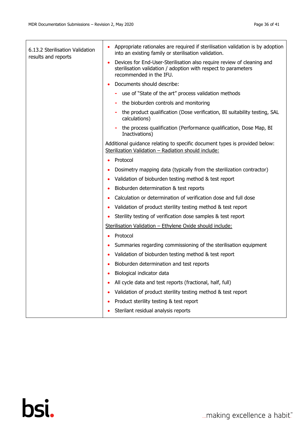| 6.13.2 Sterilisation Validation<br>results and reports | Appropriate rationales are required if sterilisation validation is by adoption<br>into an existing family or sterilisation validation.                              |
|--------------------------------------------------------|---------------------------------------------------------------------------------------------------------------------------------------------------------------------|
|                                                        | Devices for End-User-Sterilisation also require review of cleaning and<br>sterilisation validation / adoption with respect to parameters<br>recommended in the IFU. |
|                                                        | Documents should describe:                                                                                                                                          |
|                                                        | use of "State of the art" process validation methods                                                                                                                |
|                                                        | the bioburden controls and monitoring                                                                                                                               |
|                                                        | the product qualification (Dose verification, BI suitability testing, SAL<br>calculations)                                                                          |
|                                                        | the process qualification (Performance qualification, Dose Map, BI<br>Inactivations)                                                                                |
|                                                        | Additional guidance relating to specific document types is provided below:<br>Sterilization Validation - Radiation should include:                                  |
|                                                        | Protocol                                                                                                                                                            |
|                                                        | Dosimetry mapping data (typically from the sterilization contractor)                                                                                                |
|                                                        | Validation of bioburden testing method & test report                                                                                                                |
|                                                        | Bioburden determination & test reports                                                                                                                              |
|                                                        | Calculation or determination of verification dose and full dose                                                                                                     |
|                                                        | Validation of product sterility testing method & test report                                                                                                        |
|                                                        | Sterility testing of verification dose samples & test report                                                                                                        |
|                                                        | Sterilisation Validation - Ethylene Oxide should include:                                                                                                           |
|                                                        | Protocol                                                                                                                                                            |
|                                                        | Summaries regarding commissioning of the sterilisation equipment                                                                                                    |
|                                                        | Validation of bioburden testing method & test report                                                                                                                |
|                                                        | Bioburden determination and test reports                                                                                                                            |
|                                                        | Biological indicator data                                                                                                                                           |
|                                                        | All cycle data and test reports (fractional, half, full)                                                                                                            |
|                                                        | Validation of product sterility testing method & test report                                                                                                        |
|                                                        | Product sterility testing & test report                                                                                                                             |
|                                                        | Sterilant residual analysis reports                                                                                                                                 |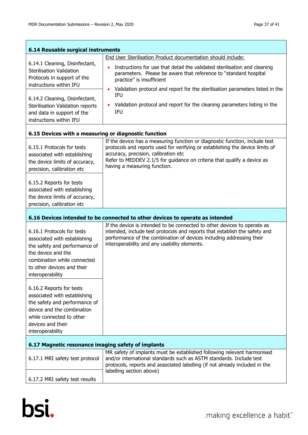| 6.14 Reusable surgical instruments                                                                                                                                                                 |                                                                                                                                                                                                                                                                                                                 |
|----------------------------------------------------------------------------------------------------------------------------------------------------------------------------------------------------|-----------------------------------------------------------------------------------------------------------------------------------------------------------------------------------------------------------------------------------------------------------------------------------------------------------------|
| 6.14.1 Cleaning, Disinfectant,<br><b>Sterilisation Validation</b><br>Protocols in support of the<br>instructions within IFU                                                                        | End User Sterilisation Product documentation should include:<br>Instructions for use that detail the validated sterilisation and cleaning<br>parameters. Please be aware that reference to "standard hospital<br>practice" is insufficient                                                                      |
| 6.14.2 Cleaning, Disinfectant,<br>Sterilisation Validation reports<br>and data in support of the<br>instructions within IFU                                                                        | Validation protocol and report for the sterilisation parameters listed in the<br><b>IFU</b><br>Validation protocol and report for the cleaning parameters listing in the<br>IFU                                                                                                                                 |
| 6.15 Devices with a measuring or diagnostic function                                                                                                                                               |                                                                                                                                                                                                                                                                                                                 |
| 6.15.1 Protocols for tests<br>associated with establishing<br>the device limits of accuracy,<br>precision, calibration etc                                                                         | If the device has a measuring function or diagnostic function, include test<br>protocols and reports used for verifying or establishing the device limits of<br>accuracy, precision, calibration etc<br>Refer to MEDDEV 2.1/5 for guidance on criteria that qualify a device as<br>having a measuring function. |
| 6.15.2 Reports for tests<br>associated with establishing<br>the device limits of accuracy,<br>precision, calibration etc                                                                           |                                                                                                                                                                                                                                                                                                                 |
|                                                                                                                                                                                                    | 6.16 Devices intended to be connected to other devices to operate as intended                                                                                                                                                                                                                                   |
| 6.16.1 Protocols for tests<br>associated with establishing<br>the safety and performance of<br>the device and the<br>combination while connected<br>to other devices and their<br>interoperability | If the device is intended to be connected to other devices to operate as<br>intended, include test protocols and reports that establish the safety and<br>performance of the combination of devices including addressing their<br>interoperability and any usability elements.                                  |
| 6.16.2 Reports for tests<br>associated with establishing<br>the safety and performance of<br>device and the combination<br>while connected to other<br>devices and their<br>interoperability       |                                                                                                                                                                                                                                                                                                                 |
| 6.17 Magnetic resonance imaging safety of implants                                                                                                                                                 |                                                                                                                                                                                                                                                                                                                 |
| 6.17.1 MRI safety test protocol                                                                                                                                                                    | MR safety of implants must be established following relevant harmonised<br>and/or international standards such as ASTM standards. Include test<br>protocols, reports and associated labelling (if not already included in the<br>labelling section above)                                                       |
| 6.17.2 MRI safety test results                                                                                                                                                                     |                                                                                                                                                                                                                                                                                                                 |

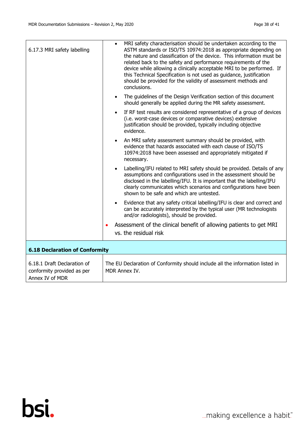| MRI safety characterisation should be undertaken according to the<br>ASTM standards or ISO/TS 10974:2018 as appropriate depending on<br>the nature and classification of the device. This information must be<br>related back to the safety and performance requirements of the<br>device while allowing a clinically acceptable MRI to be performed. If<br>this Technical Specification is not used as guidance, justification<br>should be provided for the validity of assessment methods and<br>conclusions. |
|------------------------------------------------------------------------------------------------------------------------------------------------------------------------------------------------------------------------------------------------------------------------------------------------------------------------------------------------------------------------------------------------------------------------------------------------------------------------------------------------------------------|
| The guidelines of the Design Verification section of this document<br>$\bullet$<br>should generally be applied during the MR safety assessment.                                                                                                                                                                                                                                                                                                                                                                  |
| If RF test results are considered representative of a group of devices<br>$\bullet$<br>(i.e. worst-case devices or comparative devices) extensive<br>justification should be provided, typically including objective<br>evidence.                                                                                                                                                                                                                                                                                |
| An MRI safety assessment summary should be provided, with<br>evidence that hazards associated with each clause of ISO/TS<br>10974:2018 have been assessed and appropriately mitigated if<br>necessary.                                                                                                                                                                                                                                                                                                           |
| Labelling/IFU related to MRI safety should be provided. Details of any<br>assumptions and configurations used in the assessment should be<br>disclosed in the labelling/IFU. It is important that the labelling/IFU<br>clearly communicates which scenarios and configurations have been<br>shown to be safe and which are untested.                                                                                                                                                                             |
| Evidence that any safety critical labelling/IFU is clear and correct and<br>$\bullet$<br>can be accurately interpreted by the typical user (MR technologists<br>and/or radiologists), should be provided.                                                                                                                                                                                                                                                                                                        |
| Assessment of the clinical benefit of allowing patients to get MRI<br>vs. the residual risk                                                                                                                                                                                                                                                                                                                                                                                                                      |
| <b>6.18 Declaration of Conformity</b>                                                                                                                                                                                                                                                                                                                                                                                                                                                                            |
| The EU Declaration of Conformity should include all the information listed in<br>MDR Annex IV.                                                                                                                                                                                                                                                                                                                                                                                                                   |
|                                                                                                                                                                                                                                                                                                                                                                                                                                                                                                                  |

... making excellence a habit."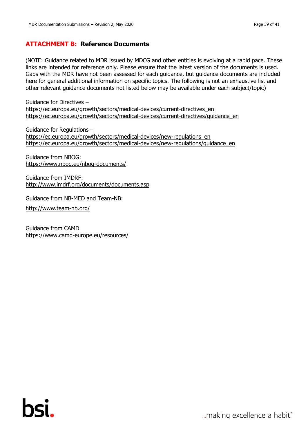# <span id="page-38-0"></span>**ATTACHMENT B: Reference Documents**

(NOTE: Guidance related to MDR issued by MDCG and other entities is evolving at a rapid pace. These links are intended for reference only. Please ensure that the latest version of the documents is used. Gaps with the MDR have not been assessed for each guidance, but guidance documents are included here for general additional information on specific topics. The following is not an exhaustive list and other relevant guidance documents not listed below may be available under each subject/topic)

Guidance for Directives – [https://ec.europa.eu/growth/sectors/medical-devices/current-directives\\_en](https://ec.europa.eu/growth/sectors/medical-devices/current-directives_en) [https://ec.europa.eu/growth/sectors/medical-devices/current-directives/guidance\\_en](https://ec.europa.eu/growth/sectors/medical-devices/current-directives/guidance_en)

Guidance for Regulations – [https://ec.europa.eu/growth/sectors/medical-devices/new-regulations\\_en](https://ec.europa.eu/growth/sectors/medical-devices/new-regulations_en) [https://ec.europa.eu/growth/sectors/medical-devices/new-regulations/guidance\\_en](https://ec.europa.eu/growth/sectors/medical-devices/new-regulations/guidance_en)

Guidance from NBOG: <https://www.nbog.eu/nbog-documents/>

Guidance from IMDRF: <http://www.imdrf.org/documents/documents.asp>

Guidance from NB-MED and Team-NB:

<http://www.team-nb.org/>

Guidance from CAMD <https://www.camd-europe.eu/resources/>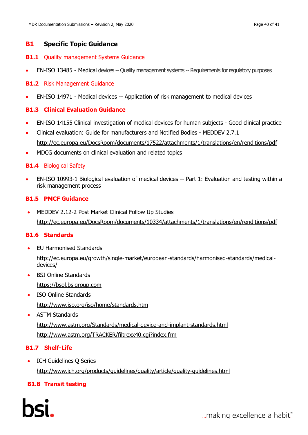# **B1 Specific Topic Guidance**

# **B1.1** Quality management Systems Guidance

• EN-ISO 13485 - Medical devices -- Quality management systems -- Requirements for regulatory purposes

# **B1.2** Risk Management Guidance

• EN-ISO 14971 - Medical devices -- Application of risk management to medical devices

# **B1.3 Clinical Evaluation Guidance**

- EN-ISO 14155 Clinical investigation of medical devices for human subjects Good clinical practice
- Clinical evaluation: Guide for manufacturers and Notified Bodies MEDDEV 2.7.1 <http://ec.europa.eu/DocsRoom/documents/17522/attachments/1/translations/en/renditions/pdf>
- MDCG documents on clinical evaluation and related topics

# **B1.4** Biological Safety

• EN-ISO 10993-1 Biological evaluation of medical devices -- Part 1: Evaluation and testing within a risk management process

# **B1.5 PMCF Guidance**

• MEDDEV 2.12-2 Post Market Clinical Follow Up Studies <http://ec.europa.eu/DocsRoom/documents/10334/attachments/1/translations/en/renditions/pdf>

# **B1.6 Standards**

- EU Harmonised Standards [http://ec.europa.eu/growth/single-market/european-standards/harmonised-standards/medical](http://ec.europa.eu/growth/single-market/european-standards/harmonised-standards/medical-devices/)devices/
- BSI Online Standards [https://bsol.bsigroup.com](https://bsol.bsigroup.com/)
- ISO Online Standards <http://www.iso.org/iso/home/standards.htm>
- ASTM Standards

<http://www.astm.org/Standards/medical-device-and-implant-standards.html> <http://www.astm.org/TRACKER/filtrexx40.cgi?index.frm>

# **B1.7 Shelf-Life**

• ICH Guidelines Q Series <http://www.ich.org/products/guidelines/quality/article/quality-guidelines.html>

# **B1.8 Transit testing**

"...making excellence a habit.